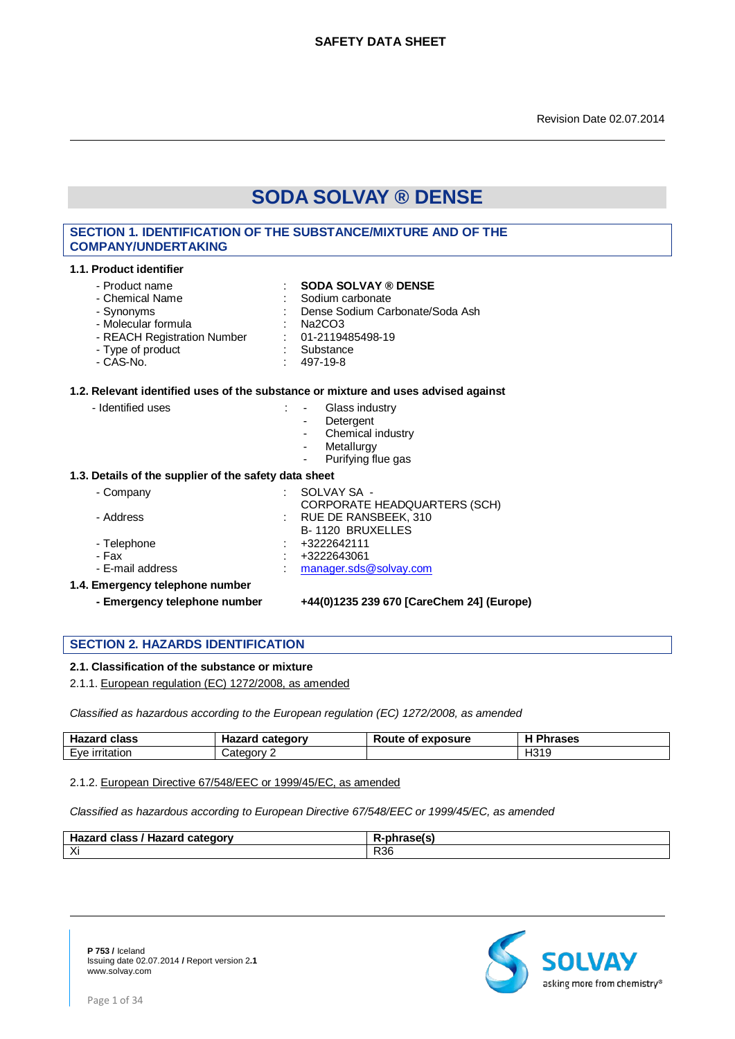# **SECTION 1. IDENTIFICATION OF THE SUBSTANCE/MIXTURE AND OF THE COMPANY/UNDERTAKING**

#### **1.1. Product identifier**

- Chemical Name

# - Product name **: SODA SOLVAY ® DENSE**<br>
Sodium carbonate : Chemical Name : Sodium carbonate

- 
- Synonyms : Dense Sodium Carbonate/Soda Ash
	-
- Molecular formula : Na2CO3<br>- REACH Registration Number : 01-2119485498-19
- REACH Registration Number : 01-211948<br>Type of product : Substance - Type of product<br>- CAS-No.
	- $: 497-19-8$

#### **1.2. Relevant identified uses of the substance or mixture and uses advised against**

- Identified uses : Glass industry
	-
	- **Detergent**
	- Chemical industry
	- Metallurgy
	- Purifying flue gas

#### **1.3. Details of the supplier of the safety data sheet**

- Company : SOLVAY SA -
- CORPORATE HEADQUARTERS (SCH) - Address : RUE DE RANSBEEK, 310 B- 1120 BRUXELLES - Telephone : +3222642111 - Fax : +3222643061<br>- E-mail address : +3222643061 : +3222643061 : +3222643061 : +3222643061 : +42261 : +42261 : +42261 : +42261 : : manager.sds@solvay.com
- **1.4. Emergency telephone number**
	-

#### **- Emergency telephone number +44(0)1235 239 670 [CareChem 24] (Europe)**

# **SECTION 2. HAZARDS IDENTIFICATION**

#### **2.1. Classification of the substance or mixture**

2.1.1. European regulation (EC) 1272/2008, as amended

*Classified as hazardous according to the European regulation (EC) 1272/2008, as amended*

| Hazard<br>class          | Hazard<br>category | Route<br>exposure<br>. ot | Phrases |
|--------------------------|--------------------|---------------------------|---------|
| ∟∨е<br><u>Irritation</u> | ∵ategory           |                           | H319    |

#### 2.1.2. European Directive 67/548/EEC or 1999/45/EC, as amended

*Classified as hazardous according to European Directive 67/548/EEC or 1999/45/EC, as amended*

| <b>Hazard class</b><br>category<br>' Hazard | . <i>. .</i> |
|---------------------------------------------|--------------|
| $\vee$ :<br>$\sim$                          | <b>R36</b>   |

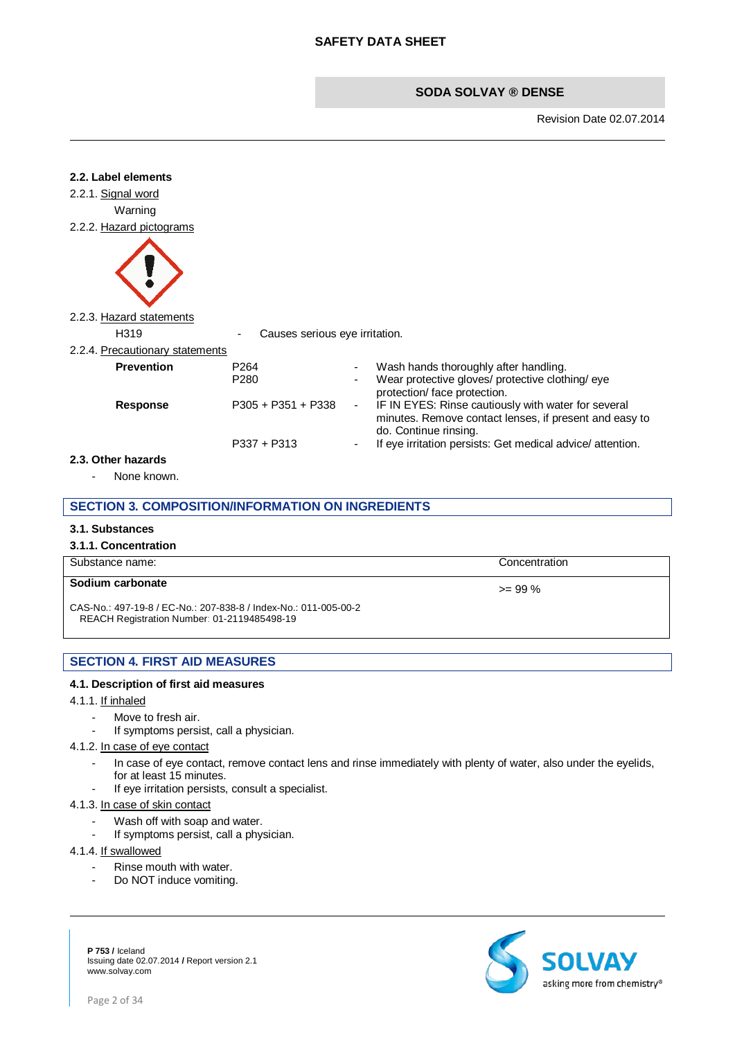Revision Date 02.07.2014



# **3.1. Substances**

#### **3.1.1. Concentration**

| Substance name:                                                                                                | Concentration |
|----------------------------------------------------------------------------------------------------------------|---------------|
| Sodium carbonate                                                                                               | $>= 99\%$     |
| CAS-No.: 497-19-8 / EC-No.: 207-838-8 / Index-No.: 011-005-00-2<br>REACH Registration Number: 01-2119485498-19 |               |

# **SECTION 4. FIRST AID MEASURES**

#### **4.1. Description of first aid measures**

#### 4.1.1. If inhaled

- Move to fresh air.
- If symptoms persist, call a physician.

#### 4.1.2. In case of eye contact

- In case of eye contact, remove contact lens and rinse immediately with plenty of water, also under the eyelids, for at least 15 minutes.
- If eye irritation persists, consult a specialist.

#### 4.1.3. In case of skin contact

- Wash off with soap and water.
- If symptoms persist, call a physician.

#### 4.1.4. If swallowed

- Rinse mouth with water.
- Do NOT induce vomiting.

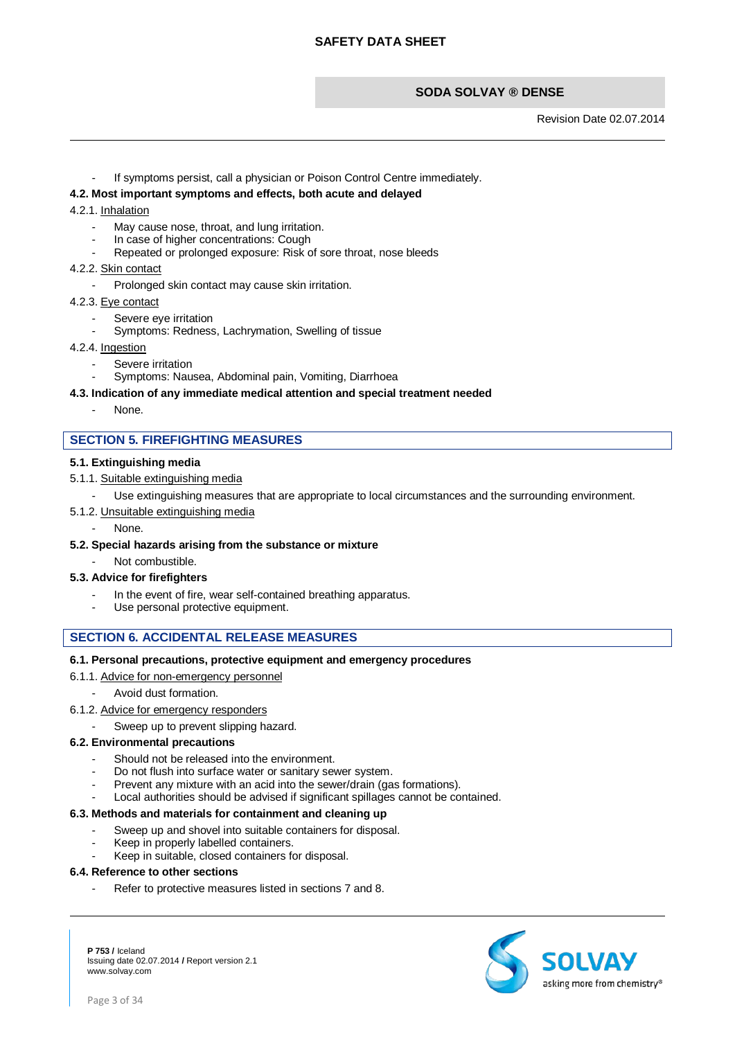Revision Date 02.07.2014

If symptoms persist, call a physician or Poison Control Centre immediately.

#### **4.2. Most important symptoms and effects, both acute and delayed**

#### 4.2.1. Inhalation

- May cause nose, throat, and lung irritation.
- In case of higher concentrations: Cough
- Repeated or prolonged exposure: Risk of sore throat, nose bleeds

#### 4.2.2. Skin contact

- Prolonged skin contact may cause skin irritation.
- 4.2.3. Eye contact
	- Severe eye irritation
	- Symptoms: Redness, Lachrymation, Swelling of tissue

#### 4.2.4. Ingestion

- Severe irritation
	- Symptoms: Nausea, Abdominal pain, Vomiting, Diarrhoea

#### **4.3. Indication of any immediate medical attention and special treatment needed**

None.

# **SECTION 5. FIREFIGHTING MEASURES**

#### **5.1. Extinguishing media**

- 5.1.1. Suitable extinguishing media
	- Use extinguishing measures that are appropriate to local circumstances and the surrounding environment.
- 5.1.2. Unsuitable extinguishing media
	- None.

#### **5.2. Special hazards arising from the substance or mixture**

Not combustible.

#### **5.3. Advice for firefighters**

- In the event of fire, wear self-contained breathing apparatus.
- Use personal protective equipment.

#### **SECTION 6. ACCIDENTAL RELEASE MEASURES**

#### **6.1. Personal precautions, protective equipment and emergency procedures**

- 6.1.1. Advice for non-emergency personnel
	- Avoid dust formation.
- 6.1.2. Advice for emergency responders
	- Sweep up to prevent slipping hazard.

#### **6.2. Environmental precautions**

- Should not be released into the environment.
- Do not flush into surface water or sanitary sewer system.
- Prevent any mixture with an acid into the sewer/drain (gas formations).
- Local authorities should be advised if significant spillages cannot be contained.

# **6.3. Methods and materials for containment and cleaning up**

- Sweep up and shovel into suitable containers for disposal.
- Keep in properly labelled containers.
- Keep in suitable, closed containers for disposal.

# **6.4. Reference to other sections**

Refer to protective measures listed in sections 7 and 8.

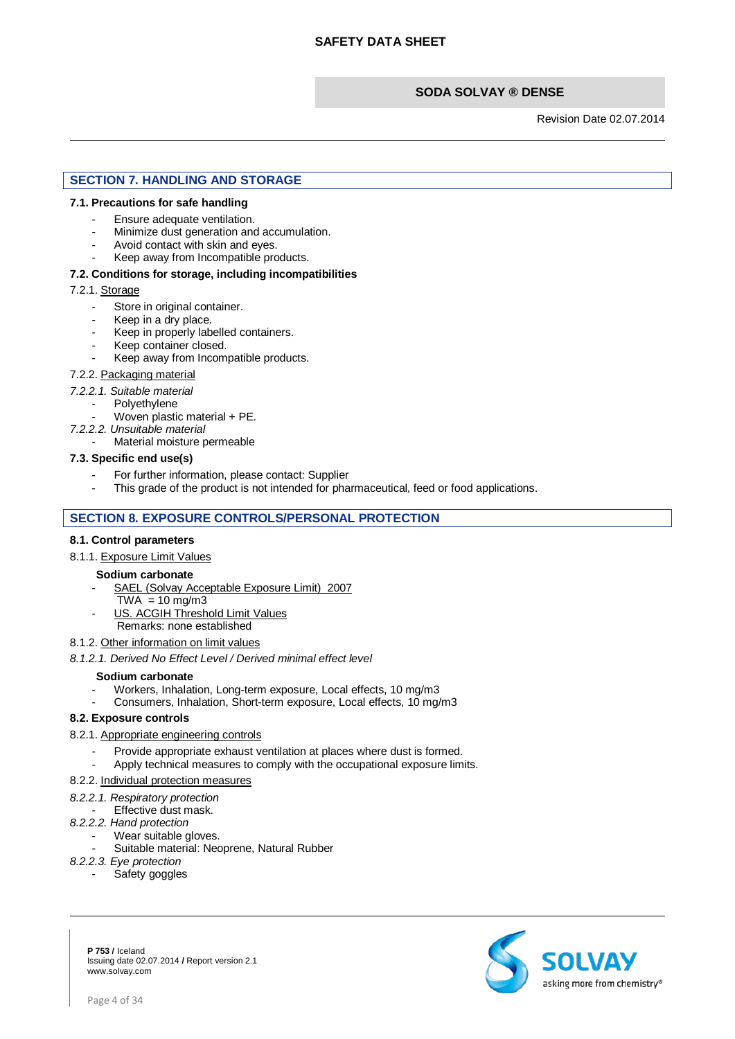Revision Date 02.07.2014

# **SECTION 7. HANDLING AND STORAGE**

#### **7.1. Precautions for safe handling**

- Ensure adequate ventilation.
- Minimize dust generation and accumulation.
- Avoid contact with skin and eyes.
- Keep away from Incompatible products.

#### **7.2. Conditions for storage, including incompatibilities**

#### 7.2.1. Storage

- Store in original container.
- Keep in a dry place.
- Keep in properly labelled containers.
- Keep container closed.
- Keep away from Incompatible products.

#### 7.2.2. Packaging material

- *7.2.2.1. Suitable material*
	- Polyethylene
		- Woven plastic material + PE.
- *7.2.2.2. Unsuitable material*
	- Material moisture permeable

#### **7.3. Specific end use(s)**

- For further information, please contact: Supplier
- This grade of the product is not intended for pharmaceutical, feed or food applications.

# **SECTION 8. EXPOSURE CONTROLS/PERSONAL PROTECTION**

#### **8.1. Control parameters**

8.1.1. Exposure Limit Values

# **Sodium carbonate**

- SAEL (Solvay Acceptable Exposure Limit) 2007
- $TWA = 10 mg/m3$
- US. ACGIH Threshold Limit Values
- Remarks: none established

# 8.1.2. Other information on limit values

*8.1.2.1. Derived No Effect Level / Derived minimal effect level*

#### **Sodium carbonate**

- Workers, Inhalation, Long-term exposure, Local effects, 10 mg/m3
- Consumers, Inhalation, Short-term exposure, Local effects, 10 mg/m3

#### **8.2. Exposure controls**

- 8.2.1. Appropriate engineering controls
	- Provide appropriate exhaust ventilation at places where dust is formed.
	- Apply technical measures to comply with the occupational exposure limits.

#### 8.2.2. Individual protection measures

- *8.2.2.1. Respiratory protection*
- Effective dust mask.
- *8.2.2.2. Hand protection*
	- Wear suitable gloves.
	- Suitable material: Neoprene, Natural Rubber
- *8.2.2.3. Eye protection*
	- Safety goggles

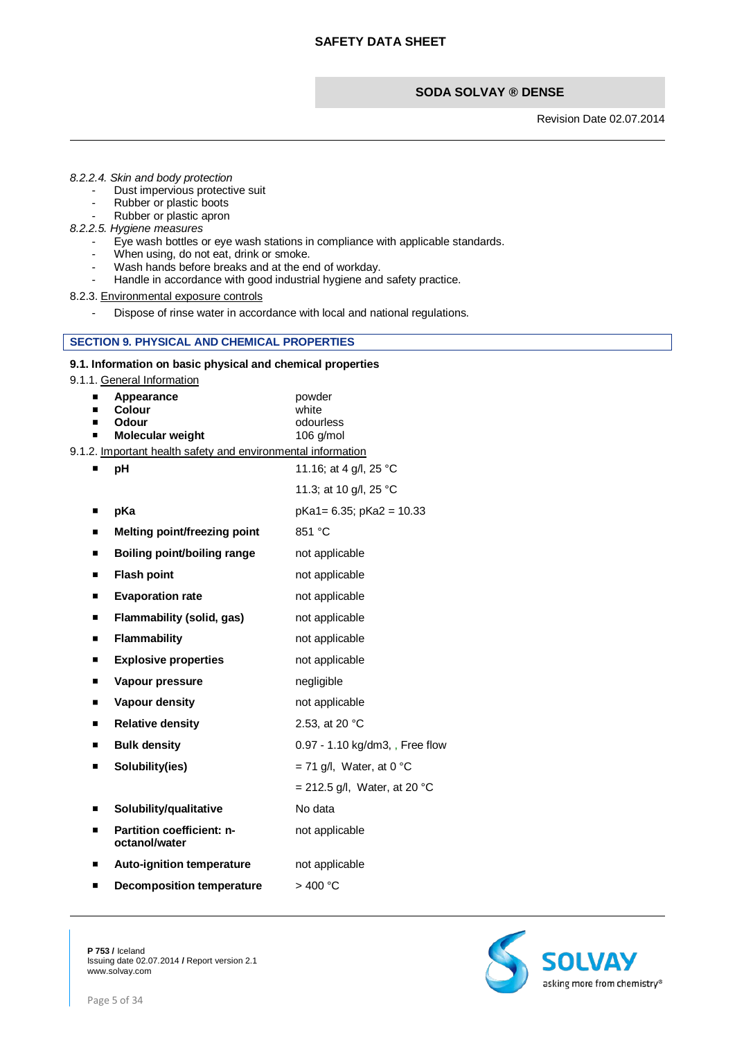Revision Date 02.07.2014

#### *8.2.2.4. Skin and body protection*

- Dust impervious protective suit
- Rubber or plastic boots
- Rubber or plastic apron
- *8.2.2.5. Hygiene measures*
	- Eye wash bottles or eye wash stations in compliance with applicable standards.
	- When using, do not eat, drink or smoke.
		- Wash hands before breaks and at the end of workday.
	- Handle in accordance with good industrial hygiene and safety practice.
- 8.2.3. Environmental exposure controls
	- Dispose of rinse water in accordance with local and national regulations.

#### **SECTION 9. PHYSICAL AND CHEMICAL PROPERTIES**

#### **9.1. Information on basic physical and chemical properties**

9.1.1. General Information

| ■<br>ш | Appearance<br>Colour<br>Odour<br>Molecular weight<br>9.1.2. Important health safety and environmental information | powder<br>white<br>odourless<br>106 g/mol |
|--------|-------------------------------------------------------------------------------------------------------------------|-------------------------------------------|
|        | pH                                                                                                                | 11.16; at 4 g/l, 25 °C                    |
|        |                                                                                                                   | 11.3; at 10 g/l, 25 °C                    |
| П      | pKa                                                                                                               | pKa1= 6.35; pKa2 = 10.33                  |
| п      | Melting point/freezing point                                                                                      | 851 °C                                    |
| ■      | Boiling point/boiling range                                                                                       | not applicable                            |
| ■      | <b>Flash point</b>                                                                                                | not applicable                            |
| ■      | <b>Evaporation rate</b>                                                                                           | not applicable                            |
| ■      | Flammability (solid, gas)                                                                                         | not applicable                            |
| п      | <b>Flammability</b>                                                                                               | not applicable                            |
| п      | <b>Explosive properties</b>                                                                                       | not applicable                            |
| ■      | Vapour pressure                                                                                                   | negligible                                |
| ■      | Vapour density                                                                                                    | not applicable                            |
| п      | <b>Relative density</b>                                                                                           | 2.53, at 20 °C                            |
| ■      | <b>Bulk density</b>                                                                                               | 0.97 - 1.10 kg/dm3, , Free flow           |
| ■      | Solubility(ies)                                                                                                   | $= 71$ g/l, Water, at 0 °C                |
|        |                                                                                                                   | = 212.5 g/l, Water, at 20 °C              |
| п      | Solubility/qualitative                                                                                            | No data                                   |
| п      | <b>Partition coefficient: n-</b><br>octanol/water                                                                 | not applicable                            |
| П      | <b>Auto-ignition temperature</b>                                                                                  | not applicable                            |
|        | <b>Decomposition temperature</b>                                                                                  | >400 °C                                   |



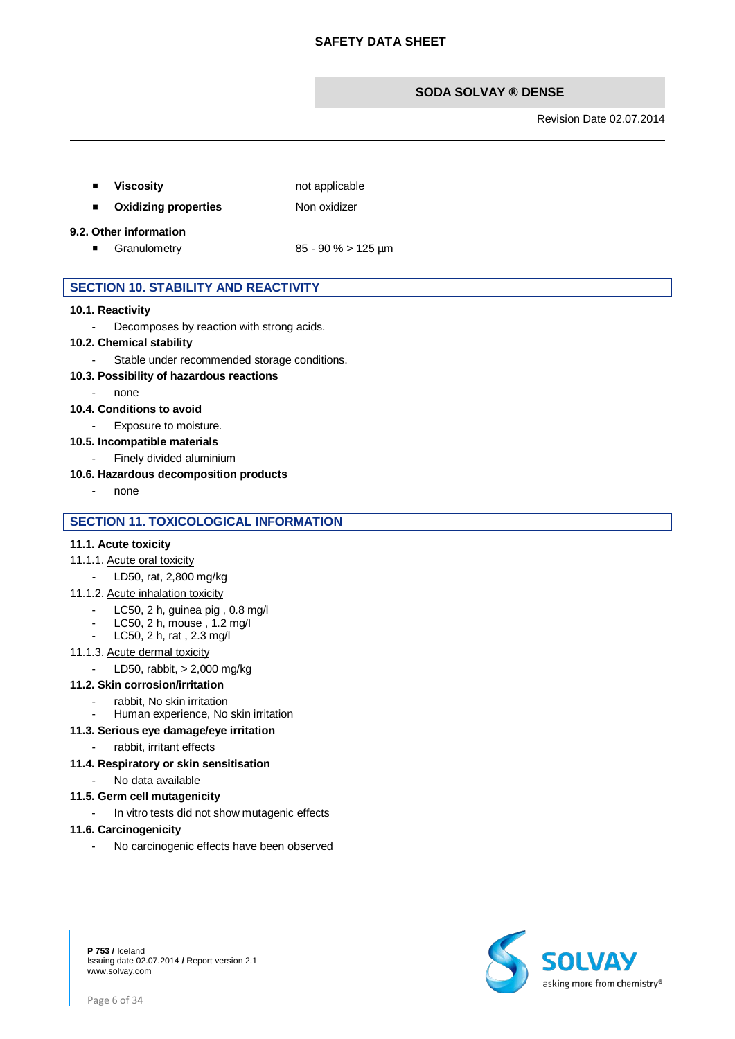Revision Date 02.07.2014

**Viscosity not applicable** 

**n** Oxidizing properties Non oxidizer

#### **9.2. Other information**

Granulometry  $85 - 90\% > 125 \text{ µm}$ 

# **SECTION 10. STABILITY AND REACTIVITY**

#### **10.1. Reactivity**

- Decomposes by reaction with strong acids.

# **10.2. Chemical stability**

Stable under recommended storage conditions.

#### **10.3. Possibility of hazardous reactions**

- none

#### **10.4. Conditions to avoid**

- Exposure to moisture.

#### **10.5. Incompatible materials**

- Finely divided aluminium

#### **10.6. Hazardous decomposition products**

none

# **SECTION 11. TOXICOLOGICAL INFORMATION**

#### **11.1. Acute toxicity**

#### 11.1.1. Acute oral toxicity

- LD50, rat, 2,800 mg/kg
- 11.1.2. Acute inhalation toxicity
	- LC50, 2 h, guinea pig, 0.8 mg/l
	- LC50, 2 h, mouse , 1.2 mg/l
	- LC50, 2 h, rat , 2.3 mg/l

#### 11.1.3. Acute dermal toxicity

- LD50, rabbit, > 2,000 mg/kg

#### **11.2. Skin corrosion/irritation**

- rabbit, No skin irritation
	- Human experience, No skin irritation

#### **11.3. Serious eye damage/eye irritation**

rabbit, irritant effects

## **11.4. Respiratory or skin sensitisation**

- No data available

#### **11.5. Germ cell mutagenicity**

- In vitro tests did not show mutagenic effects

#### **11.6. Carcinogenicity**

- No carcinogenic effects have been observed

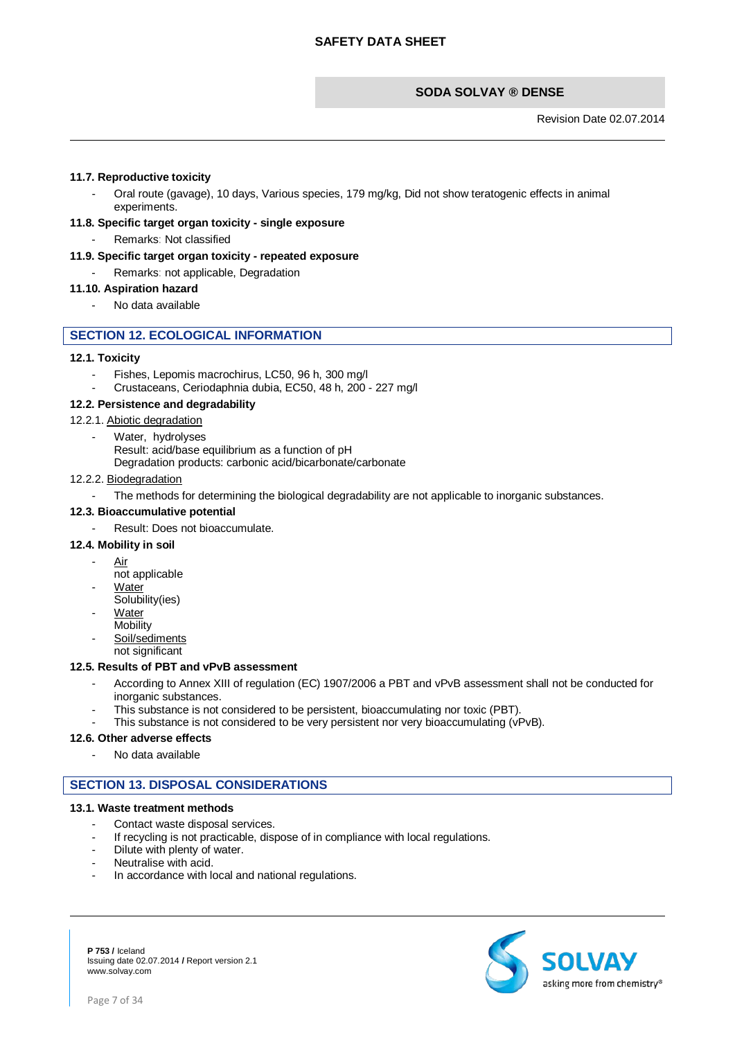Revision Date 02.07.2014

#### **11.7. Reproductive toxicity**

- Oral route (gavage), 10 days, Various species, 179 mg/kg, Did not show teratogenic effects in animal experiments.

# **11.8. Specific target organ toxicity - single exposure**

Remarks: Not classified

#### **11.9. Specific target organ toxicity - repeated exposure**

Remarks: not applicable, Degradation

# **11.10. Aspiration hazard**

No data available

#### **SECTION 12. ECOLOGICAL INFORMATION**

#### **12.1. Toxicity**

- Fishes. Lepomis macrochirus, LC50, 96 h, 300 mg/l
- Crustaceans, Ceriodaphnia dubia, EC50, 48 h, 200 227 mg/l

#### **12.2. Persistence and degradability**

#### 12.2.1. Abiotic degradation

- Water,hydrolyses
	- Result: acid/base equilibrium as a function of pH
	- Degradation products: carbonic acid/bicarbonate/carbonate

#### 12.2.2. Biodegradation

The methods for determining the biological degradability are not applicable to inorganic substances.

#### **12.3. Bioaccumulative potential**

Result: Does not bioaccumulate.

#### **12.4. Mobility in soil**

- Air
- not applicable
- **Water**
- Solubility(ies)
- **Water Mobility**
- Soil/sediments

not significant

#### **12.5. Results of PBT and vPvB assessment**

- According to Annex XIII of regulation (EC) 1907/2006 a PBT and vPvB assessment shall not be conducted for inorganic substances.
- This substance is not considered to be persistent, bioaccumulating nor toxic (PBT).
- This substance is not considered to be very persistent nor very bioaccumulating (vPvB).

#### **12.6. Other adverse effects**

No data available

# **SECTION 13. DISPOSAL CONSIDERATIONS**

#### **13.1. Waste treatment methods**

- Contact waste disposal services.
- If recycling is not practicable, dispose of in compliance with local regulations.
- Dilute with plenty of water.
- Neutralise with acid.
- In accordance with local and national regulations.

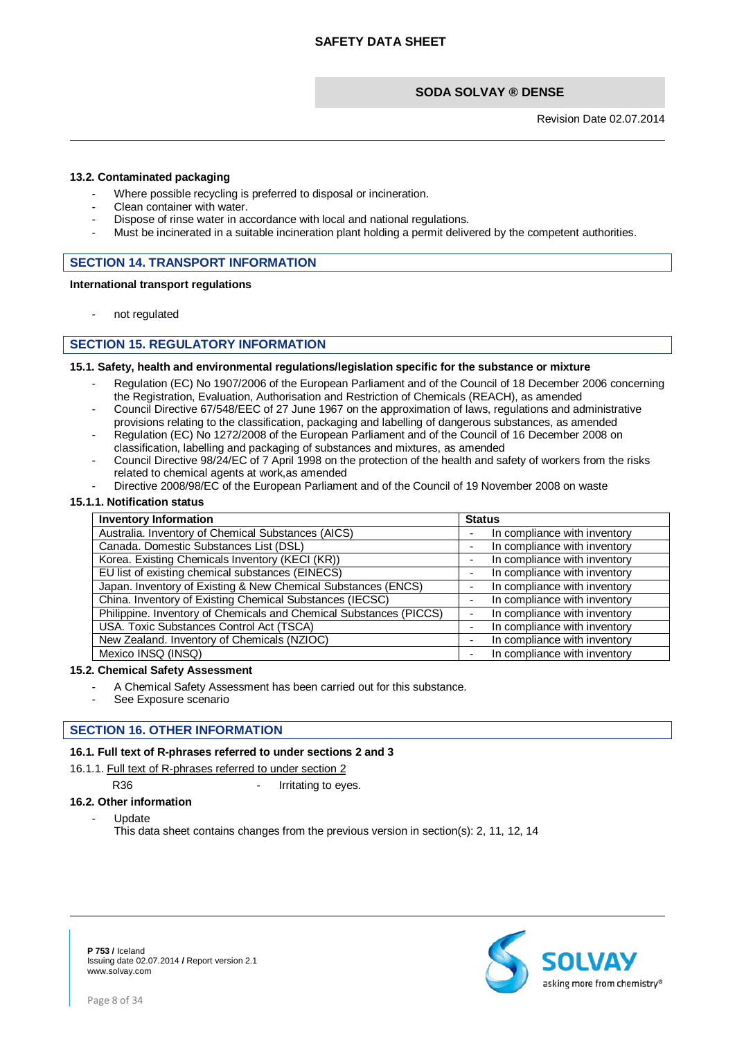Revision Date 02.07.2014

#### **13.2. Contaminated packaging**

- Where possible recycling is preferred to disposal or incineration.
- Clean container with water.
- Dispose of rinse water in accordance with local and national regulations.
- Must be incinerated in a suitable incineration plant holding a permit delivered by the competent authorities.

# **SECTION 14. TRANSPORT INFORMATION**

#### **International transport regulations**

not regulated

# **SECTION 15. REGULATORY INFORMATION**

#### **15.1. Safety, health and environmental regulations/legislation specific for the substance or mixture**

- Regulation (EC) No 1907/2006 of the European Parliament and of the Council of 18 December 2006 concerning the Registration, Evaluation, Authorisation and Restriction of Chemicals (REACH), as amended
- Council Directive 67/548/EEC of 27 June 1967 on the approximation of laws, regulations and administrative provisions relating to the classification, packaging and labelling of dangerous substances, as amended
- Regulation (EC) No 1272/2008 of the European Parliament and of the Council of 16 December 2008 on classification, labelling and packaging of substances and mixtures, as amended
- Council Directive 98/24/EC of 7 April 1998 on the protection of the health and safety of workers from the risks related to chemical agents at work,as amended
- Directive 2008/98/EC of the European Parliament and of the Council of 19 November 2008 on waste

#### **15.1.1. Notification status**

| <b>Inventory Information</b>                                       | <b>Status</b>                |  |
|--------------------------------------------------------------------|------------------------------|--|
| Australia. Inventory of Chemical Substances (AICS)                 | In compliance with inventory |  |
| Canada. Domestic Substances List (DSL)                             | In compliance with inventory |  |
| Korea. Existing Chemicals Inventory (KECI (KR))                    | In compliance with inventory |  |
| EU list of existing chemical substances (EINECS)                   | In compliance with inventory |  |
| Japan. Inventory of Existing & New Chemical Substances (ENCS)      | In compliance with inventory |  |
| China. Inventory of Existing Chemical Substances (IECSC)           | In compliance with inventory |  |
| Philippine. Inventory of Chemicals and Chemical Substances (PICCS) | In compliance with inventory |  |
| USA. Toxic Substances Control Act (TSCA)                           | In compliance with inventory |  |
| New Zealand. Inventory of Chemicals (NZIOC)                        | In compliance with inventory |  |
| Mexico INSQ (INSQ)                                                 | In compliance with inventory |  |

#### **15.2. Chemical Safety Assessment**

- A Chemical Safety Assessment has been carried out for this substance.
- See Exposure scenario

#### **SECTION 16. OTHER INFORMATION**

#### **16.1. Full text of R-phrases referred to under sections 2 and 3**

#### 16.1.1. Full text of R-phrases referred to under section 2

R36 **- Irritating to eyes.** 

#### **16.2. Other information**

#### - Update

This data sheet contains changes from the previous version in section(s): 2, 11, 12, 14

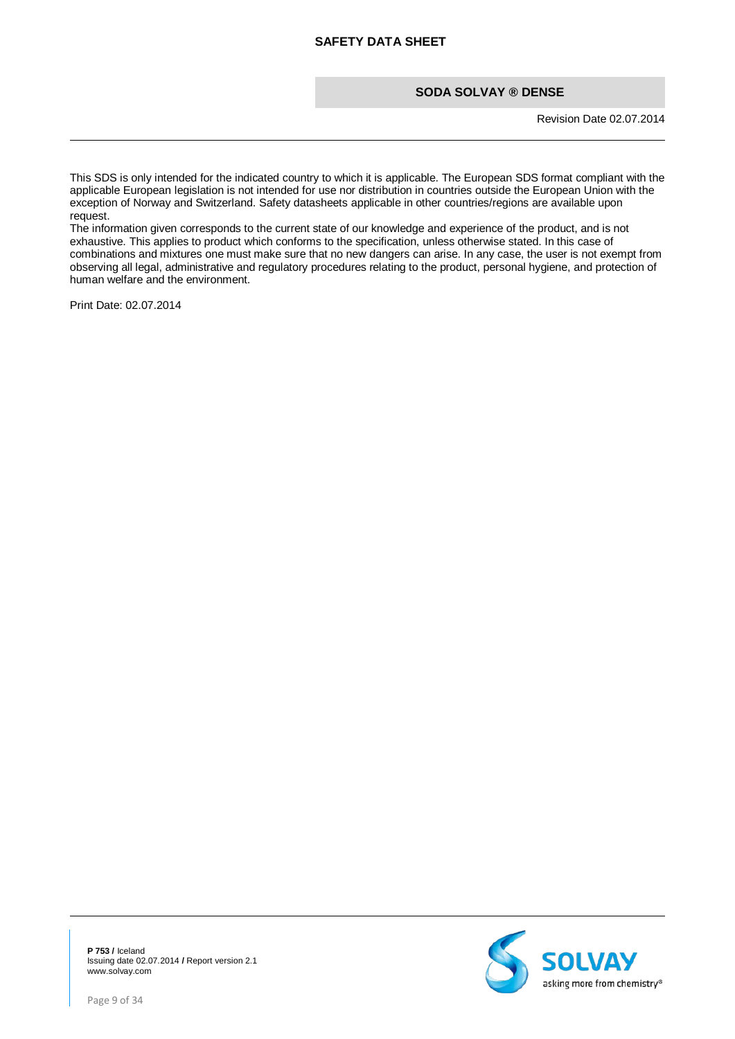Revision Date 02.07.2014

This SDS is only intended for the indicated country to which it is applicable. The European SDS format compliant with the applicable European legislation is not intended for use nor distribution in countries outside the European Union with the exception of Norway and Switzerland. Safety datasheets applicable in other countries/regions are available upon request.

The information given corresponds to the current state of our knowledge and experience of the product, and is not exhaustive. This applies to product which conforms to the specification, unless otherwise stated. In this case of combinations and mixtures one must make sure that no new dangers can arise. In any case, the user is not exempt from observing all legal, administrative and regulatory procedures relating to the product, personal hygiene, and protection of human welfare and the environment.

Print Date: 02.07.2014

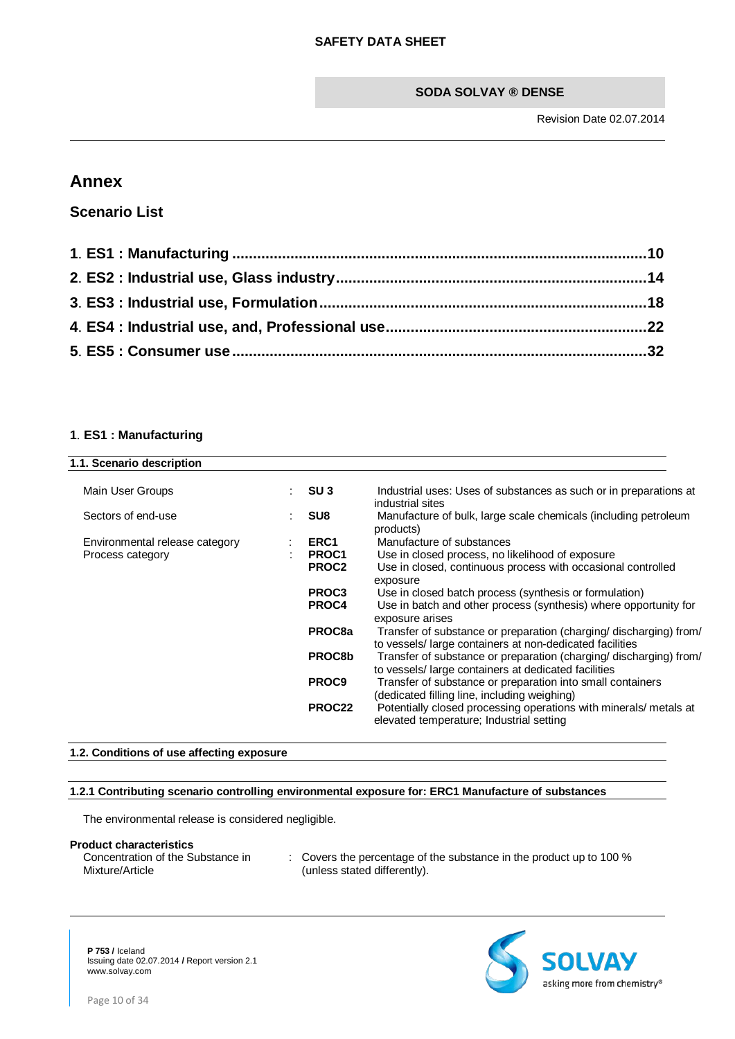# **Annex**

**Scenario List**

# <span id="page-9-0"></span>**1**. **ES1 : Manufacturing**

| SU <sub>3</sub>   | Industrial uses: Uses of substances as such or in preparations at<br>industrial sites                                                                     |
|-------------------|-----------------------------------------------------------------------------------------------------------------------------------------------------------|
| SU <sub>8</sub>   | Manufacture of bulk, large scale chemicals (including petroleum<br>products)                                                                              |
| ERC <sub>1</sub>  | Manufacture of substances                                                                                                                                 |
| PROC1<br>PROC2    | Use in closed process, no likelihood of exposure<br>Use in closed, continuous process with occasional controlled                                          |
| PROC3<br>PROC4    | exposure<br>Use in closed batch process (synthesis or formulation)<br>Use in batch and other process (synthesis) where opportunity for<br>exposure arises |
| PROC8a            | Transfer of substance or preparation (charging/ discharging) from/<br>to vessels/large containers at non-dedicated facilities                             |
| PROC8b            | Transfer of substance or preparation (charging/ discharging) from/<br>to vessels/large containers at dedicated facilities                                 |
| PROC <sub>9</sub> | Transfer of substance or preparation into small containers<br>(dedicated filling line, including weighing)                                                |
| PROC22            | Potentially closed processing operations with minerals/ metals at<br>elevated temperature; Industrial setting                                             |
|                   |                                                                                                                                                           |

# **1.2. Conditions of use affecting exposure**

# **1.2.1 Contributing scenario controlling environmental exposure for: ERC1 Manufacture of substances**

The environmental release is considered negligible.

#### **Product characteristics**

Concentration of the Substance in Mixture/Article

: Covers the percentage of the substance in the product up to 100 % (unless stated differently).

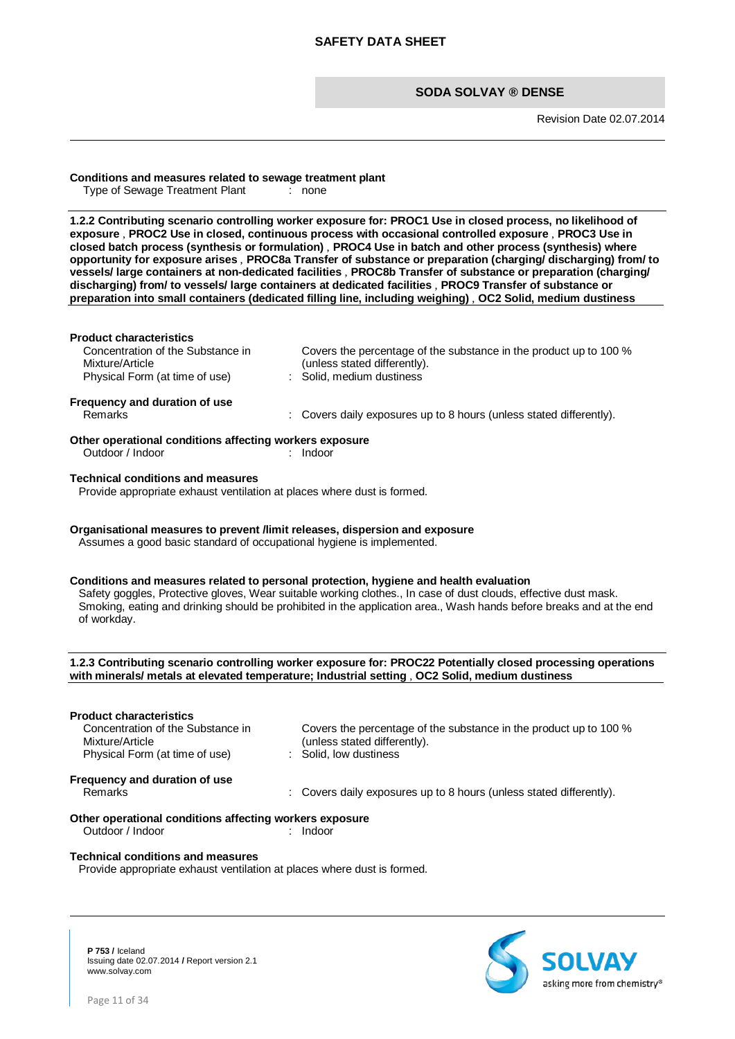Revision Date 02.07.2014

# **Conditions and measures related to sewage treatment plant**

Type of Sewage Treatment Plant

**1.2.2 Contributing scenario controlling worker exposure for: PROC1 Use in closed process, no likelihood of exposure** , **PROC2 Use in closed, continuous process with occasional controlled exposure** , **PROC3 Use in closed batch process (synthesis or formulation)** , **PROC4 Use in batch and other process (synthesis) where opportunity for exposure arises** , **PROC8a Transfer of substance or preparation (charging/ discharging) from/ to vessels/ large containers at non-dedicated facilities** , **PROC8b Transfer of substance or preparation (charging/ discharging) from/ to vessels/ large containers at dedicated facilities** , **PROC9 Transfer of substance or preparation into small containers (dedicated filling line, including weighing)** , **OC2 Solid, medium dustiness**

| <b>Product characteristics</b><br>Concentration of the Substance in<br>Mixture/Article                                                               | Covers the percentage of the substance in the product up to 100 %<br>(unless stated differently).                                                                                                                                                                                                                               |
|------------------------------------------------------------------------------------------------------------------------------------------------------|---------------------------------------------------------------------------------------------------------------------------------------------------------------------------------------------------------------------------------------------------------------------------------------------------------------------------------|
| ÷.<br>Physical Form (at time of use)                                                                                                                 | Solid, medium dustiness                                                                                                                                                                                                                                                                                                         |
| Frequency and duration of use<br>Remarks                                                                                                             | Covers daily exposures up to 8 hours (unless stated differently).                                                                                                                                                                                                                                                               |
| Other operational conditions affecting workers exposure<br>Outdoor / Indoor                                                                          | Indoor                                                                                                                                                                                                                                                                                                                          |
| <b>Technical conditions and measures</b><br>Provide appropriate exhaust ventilation at places where dust is formed.                                  |                                                                                                                                                                                                                                                                                                                                 |
| Organisational measures to prevent /limit releases, dispersion and exposure<br>Assumes a good basic standard of occupational hygiene is implemented. |                                                                                                                                                                                                                                                                                                                                 |
| of workday.                                                                                                                                          | Conditions and measures related to personal protection, hygiene and health evaluation<br>Safety goggles, Protective gloves, Wear suitable working clothes., In case of dust clouds, effective dust mask.<br>Smoking, eating and drinking should be prohibited in the application area., Wash hands before breaks and at the end |
|                                                                                                                                                      | 1.2.3 Contributing scenario controlling worker exposure for: PROC22 Potentially closed processing operations<br>with minerals/ metals at elevated temperature; Industrial setting , OC2 Solid, medium dustiness                                                                                                                 |
| <b>Product characteristics</b>                                                                                                                       |                                                                                                                                                                                                                                                                                                                                 |
| Concentration of the Substance in<br>Mixture/Article<br>Physical Form (at time of use)<br>t.                                                         | Covers the percentage of the substance in the product up to 100 %<br>(unless stated differently).<br>Solid, low dustiness                                                                                                                                                                                                       |
| Frequency and duration of use<br>Remarks                                                                                                             | Covers daily exposures up to 8 hours (unless stated differently).                                                                                                                                                                                                                                                               |
| Other operational conditions affecting workers exposure<br>Outdoor / Indoor                                                                          | $:$ Indoor                                                                                                                                                                                                                                                                                                                      |

#### **Technical conditions and measures**

Provide appropriate exhaust ventilation at places where dust is formed.



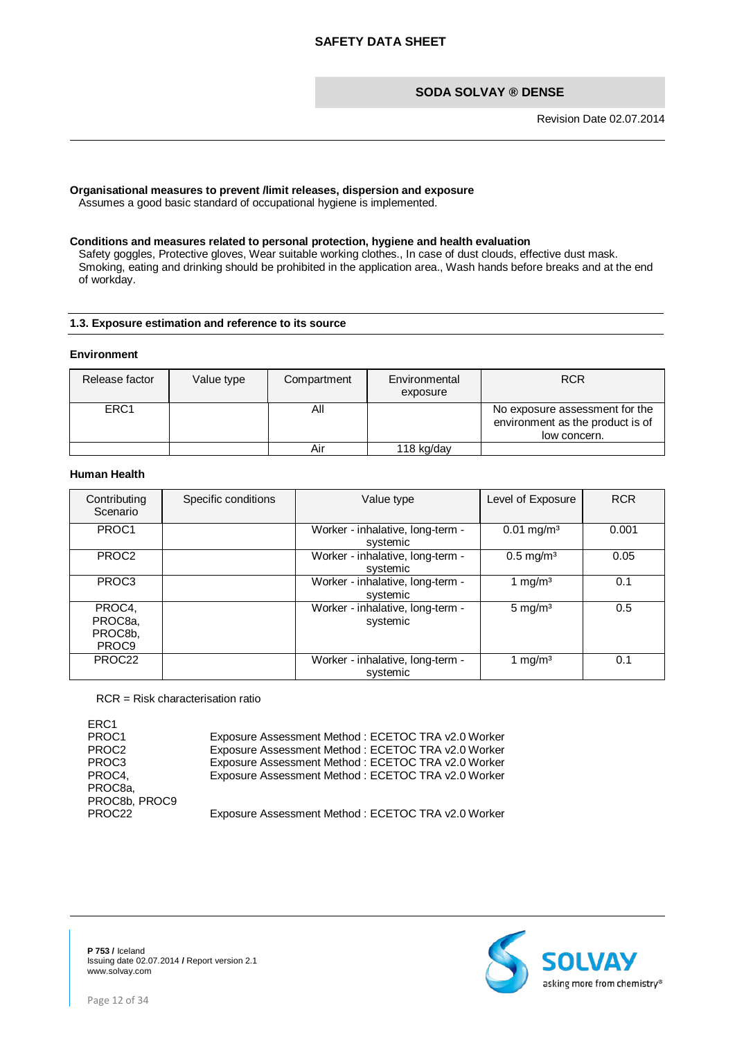## **Organisational measures to prevent /limit releases, dispersion and exposure**

Assumes a good basic standard of occupational hygiene is implemented.

#### **Conditions and measures related to personal protection, hygiene and health evaluation**

Safety goggles, Protective gloves, Wear suitable working clothes., In case of dust clouds, effective dust mask. Smoking, eating and drinking should be prohibited in the application area., Wash hands before breaks and at the end of workday.

# **1.3. Exposure estimation and reference to its source**

#### **Environment**

| Release factor   | Value type | Compartment | Environmental<br>exposure | <b>RCR</b>                                                                         |
|------------------|------------|-------------|---------------------------|------------------------------------------------------------------------------------|
| ERC <sub>1</sub> |            | Αll         |                           | No exposure assessment for the<br>environment as the product is of<br>low concern. |
|                  |            | Aır         | 118 kg/day                |                                                                                    |

#### **Human Health**

| Contributing<br>Scenario                          | Specific conditions | Value type                                   | Level of Exposure        | <b>RCR</b> |
|---------------------------------------------------|---------------------|----------------------------------------------|--------------------------|------------|
| PROC1                                             |                     | Worker - inhalative, long-term -<br>systemic | $0.01$ mg/m <sup>3</sup> | 0.001      |
| PROC <sub>2</sub>                                 |                     | Worker - inhalative, long-term -<br>systemic | $0.5$ mg/m <sup>3</sup>  | 0.05       |
| PROC <sub>3</sub>                                 |                     | Worker - inhalative, long-term -<br>systemic | 1 mg/m <sup>3</sup>      | 0.1        |
| PROC4,<br>PROC8a,<br>PROC8b.<br>PROC <sub>9</sub> |                     | Worker - inhalative, long-term -<br>systemic | 5 mg/m <sup>3</sup>      | 0.5        |
| PROC22                                            |                     | Worker - inhalative, long-term -<br>systemic | 1 mg/m $3$               | 0.1        |

RCR = Risk characterisation ratio

| ERC <sub>1</sub>   |                                                    |
|--------------------|----------------------------------------------------|
| PROC <sub>1</sub>  | Exposure Assessment Method: ECETOC TRA v2.0 Worker |
| PROC <sub>2</sub>  | Exposure Assessment Method: ECETOC TRA v2.0 Worker |
| PROC <sub>3</sub>  | Exposure Assessment Method: ECETOC TRA v2.0 Worker |
| PROC4,             | Exposure Assessment Method: ECETOC TRA v2.0 Worker |
| PROC <sub>8a</sub> |                                                    |
| PROC8b, PROC9      |                                                    |
| PROC22             | Exposure Assessment Method: ECETOC TRA v2.0 Worker |

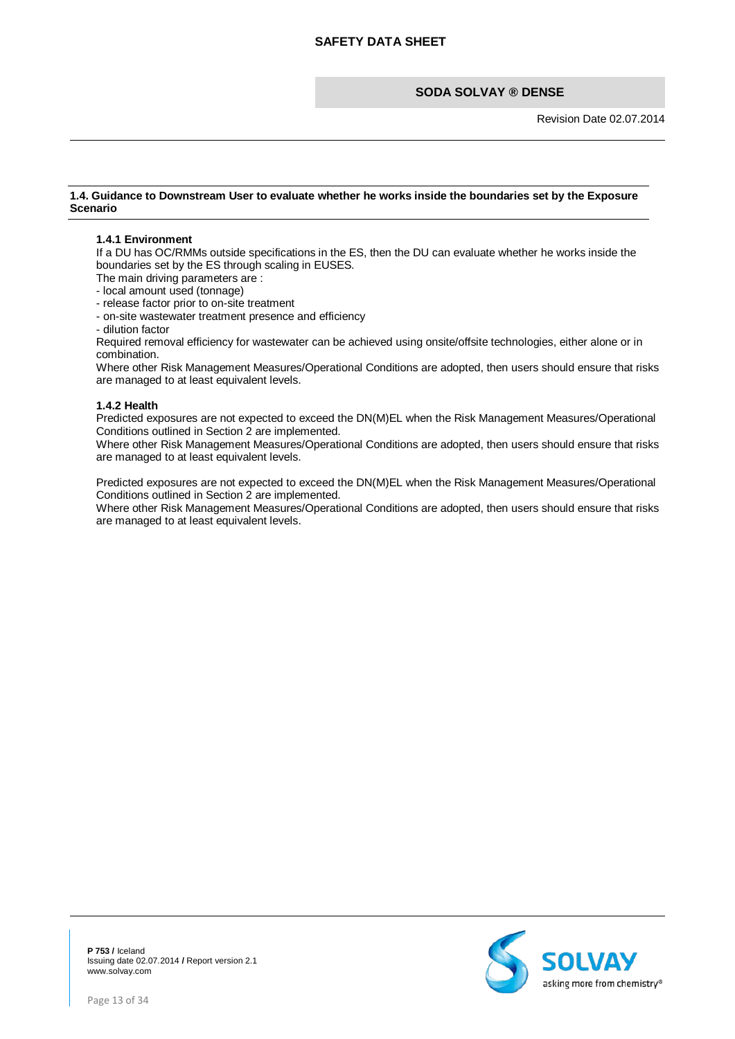Revision Date 02.07.2014

#### **1.4. Guidance to Downstream User to evaluate whether he works inside the boundaries set by the Exposure Scenario**

#### **1.4.1 Environment**

If a DU has OC/RMMs outside specifications in the ES, then the DU can evaluate whether he works inside the boundaries set by the ES through scaling in EUSES.

The main driving parameters are :

- local amount used (tonnage)

- release factor prior to on-site treatment

- on-site wastewater treatment presence and efficiency

- dilution factor

Required removal efficiency for wastewater can be achieved using onsite/offsite technologies, either alone or in combination.

Where other Risk Management Measures/Operational Conditions are adopted, then users should ensure that risks are managed to at least equivalent levels.

#### **1.4.2 Health**

Predicted exposures are not expected to exceed the DN(M)EL when the Risk Management Measures/Operational Conditions outlined in Section 2 are implemented.

Where other Risk Management Measures/Operational Conditions are adopted, then users should ensure that risks are managed to at least equivalent levels.

Predicted exposures are not expected to exceed the DN(M)EL when the Risk Management Measures/Operational Conditions outlined in Section 2 are implemented.

Where other Risk Management Measures/Operational Conditions are adopted, then users should ensure that risks are managed to at least equivalent levels.

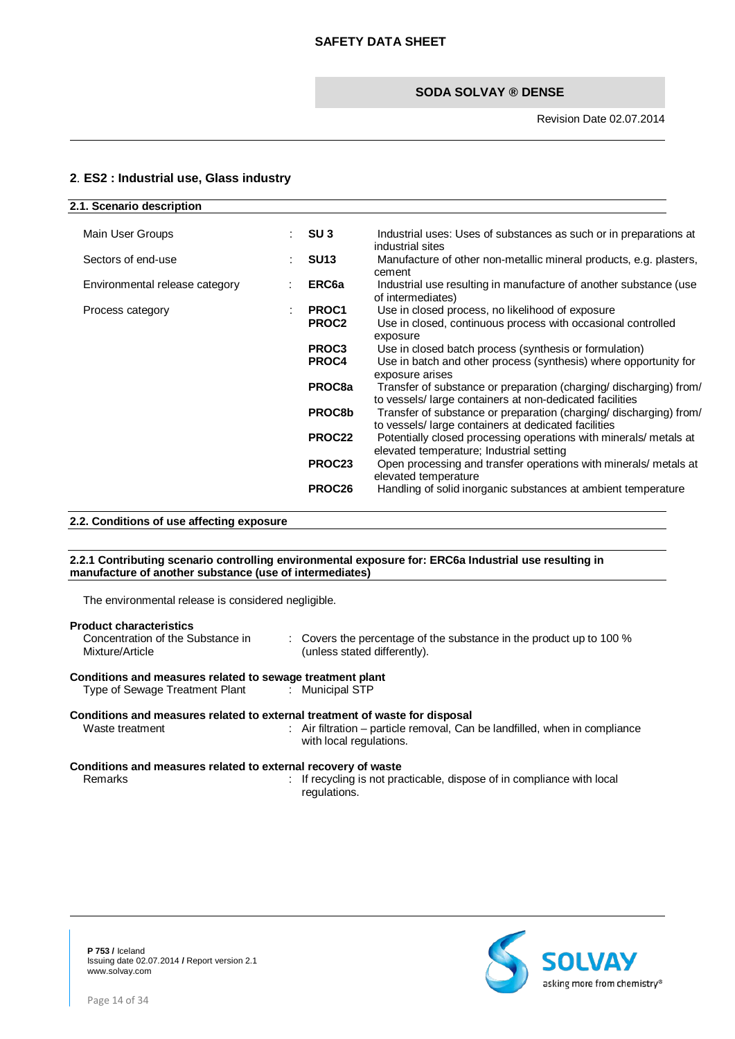# <span id="page-13-0"></span>**2**. **ES2 : Industrial use, Glass industry**

| 2.1. Scenario description      |                            |                                                                                                                                               |
|--------------------------------|----------------------------|-----------------------------------------------------------------------------------------------------------------------------------------------|
| Main User Groups               | SU <sub>3</sub>            | Industrial uses: Uses of substances as such or in preparations at<br>industrial sites                                                         |
| Sectors of end-use             | <b>SU13</b>                | Manufacture of other non-metallic mineral products, e.g. plasters,<br>cement                                                                  |
| Environmental release category | ERC <sub>6a</sub>          | Industrial use resulting in manufacture of another substance (use<br>of intermediates)                                                        |
| Process category               | PROC1<br>PROC <sub>2</sub> | Use in closed process, no likelihood of exposure<br>Use in closed, continuous process with occasional controlled<br>exposure                  |
|                                | PROC <sub>3</sub><br>PROC4 | Use in closed batch process (synthesis or formulation)<br>Use in batch and other process (synthesis) where opportunity for<br>exposure arises |
|                                | PROC8a                     | Transfer of substance or preparation (charging/ discharging) from/<br>to vessels/ large containers at non-dedicated facilities                |
|                                | PROC8b                     | Transfer of substance or preparation (charging/ discharging) from/<br>to vessels/large containers at dedicated facilities                     |
|                                | PROC22                     | Potentially closed processing operations with minerals/ metals at<br>elevated temperature; Industrial setting                                 |
|                                | PROC23                     | Open processing and transfer operations with minerals/ metals at<br>elevated temperature                                                      |
|                                | PROC26                     | Handling of solid inorganic substances at ambient temperature                                                                                 |

#### **2.2. Conditions of use affecting exposure**

#### **2.2.1 Contributing scenario controlling environmental exposure for: ERC6a Industrial use resulting in manufacture of another substance (use of intermediates)**

The environmental release is considered negligible.

| <b>Product characteristics</b><br>Concentration of the Substance in<br>Mixture/Article                      | : Covers the percentage of the substance in the product up to 100 %<br>(unless stated differently).                                                                                  |
|-------------------------------------------------------------------------------------------------------------|--------------------------------------------------------------------------------------------------------------------------------------------------------------------------------------|
| Conditions and measures related to sewage treatment plant<br>Type of Sewage Treatment Plant : Municipal STP |                                                                                                                                                                                      |
| Waste treatment                                                                                             | Conditions and measures related to external treatment of waste for disposal<br>: Air filtration – particle removal, Can be landfilled, when in compliance<br>with local regulations. |
| Conditions and measures related to external recovery of waste<br>Ramarke                                    | $\cdot$ If requaling is not practicable dispose of in compliance with local                                                                                                          |

Remarks **in the contract of the interval is in** the practicable, dispose of in compliance with local regulations.

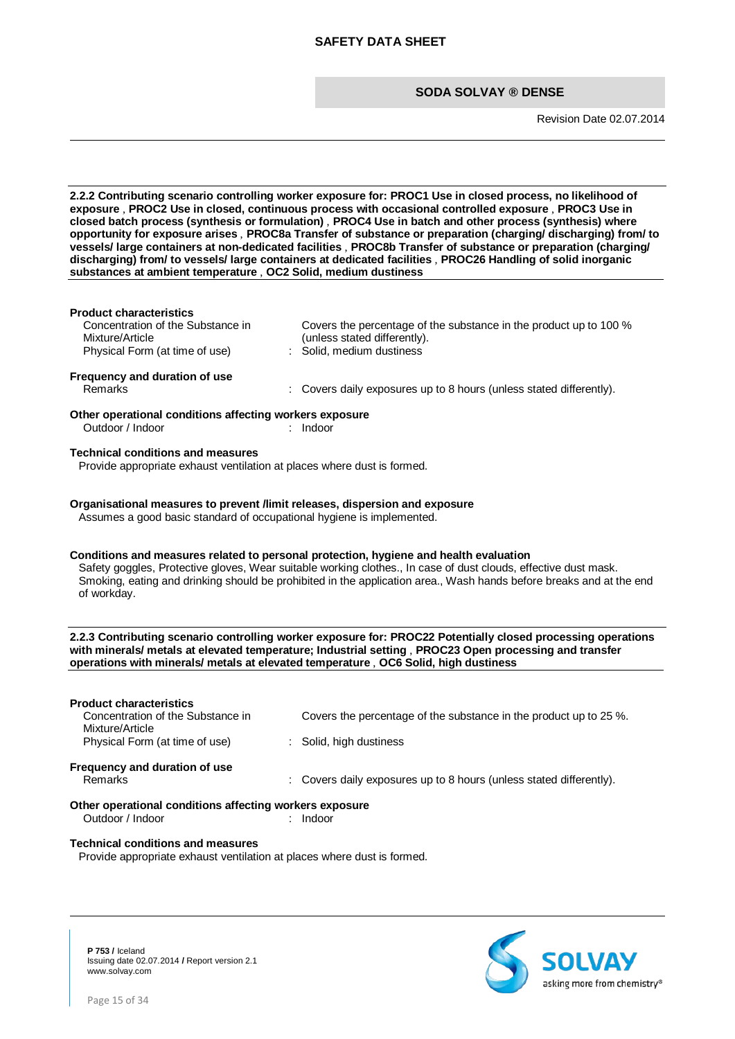Revision Date 02.07.2014

**2.2.2 Contributing scenario controlling worker exposure for: PROC1 Use in closed process, no likelihood of exposure** , **PROC2 Use in closed, continuous process with occasional controlled exposure** , **PROC3 Use in closed batch process (synthesis or formulation)** , **PROC4 Use in batch and other process (synthesis) where opportunity for exposure arises** , **PROC8a Transfer of substance or preparation (charging/ discharging) from/ to vessels/ large containers at non-dedicated facilities** , **PROC8b Transfer of substance or preparation (charging/ discharging) from/ to vessels/ large containers at dedicated facilities** , **PROC26 Handling of solid inorganic substances at ambient temperature** , **OC2 Solid, medium dustiness**

#### **Product characteristics**

Concentration of the Substance in Mixture/Article Physical Form (at time of use) : Solid, medium dustiness

Covers the percentage of the substance in the product up to 100 % (unless stated differently).

# **Frequency and duration of use**<br>Remarks

: Covers daily exposures up to 8 hours (unless stated differently).

#### **Other operational conditions affecting workers exposure**<br>
Outdoor / Indoor<br>
indoor<br>
1990 Outdoor / Indoor : Indoor

#### **Technical conditions and measures**

Provide appropriate exhaust ventilation at places where dust is formed.

# **Organisational measures to prevent /limit releases, dispersion and exposure**

Assumes a good basic standard of occupational hygiene is implemented.

#### **Conditions and measures related to personal protection, hygiene and health evaluation**

Safety goggles, Protective gloves, Wear suitable working clothes., In case of dust clouds, effective dust mask. Smoking, eating and drinking should be prohibited in the application area., Wash hands before breaks and at the end of workday.

#### **2.2.3 Contributing scenario controlling worker exposure for: PROC22 Potentially closed processing operations with minerals/ metals at elevated temperature; Industrial setting** , **PROC23 Open processing and transfer operations with minerals/ metals at elevated temperature** , **OC6 Solid, high dustiness**

| <b>Product characteristics</b>                          |                                                                     |
|---------------------------------------------------------|---------------------------------------------------------------------|
| Concentration of the Substance in<br>Mixture/Article    | Covers the percentage of the substance in the product up to 25 %.   |
| Physical Form (at time of use)                          | : Solid, high dustiness                                             |
| Frequency and duration of use                           |                                                                     |
| Remarks                                                 | : Covers daily exposures up to 8 hours (unless stated differently). |
| Other operational conditions affecting workers exposure |                                                                     |

#### **Other operational conditions affecting workers exposure** Outdoor / Indoor : Indoor

# **Technical conditions and measures**

Provide appropriate exhaust ventilation at places where dust is formed.



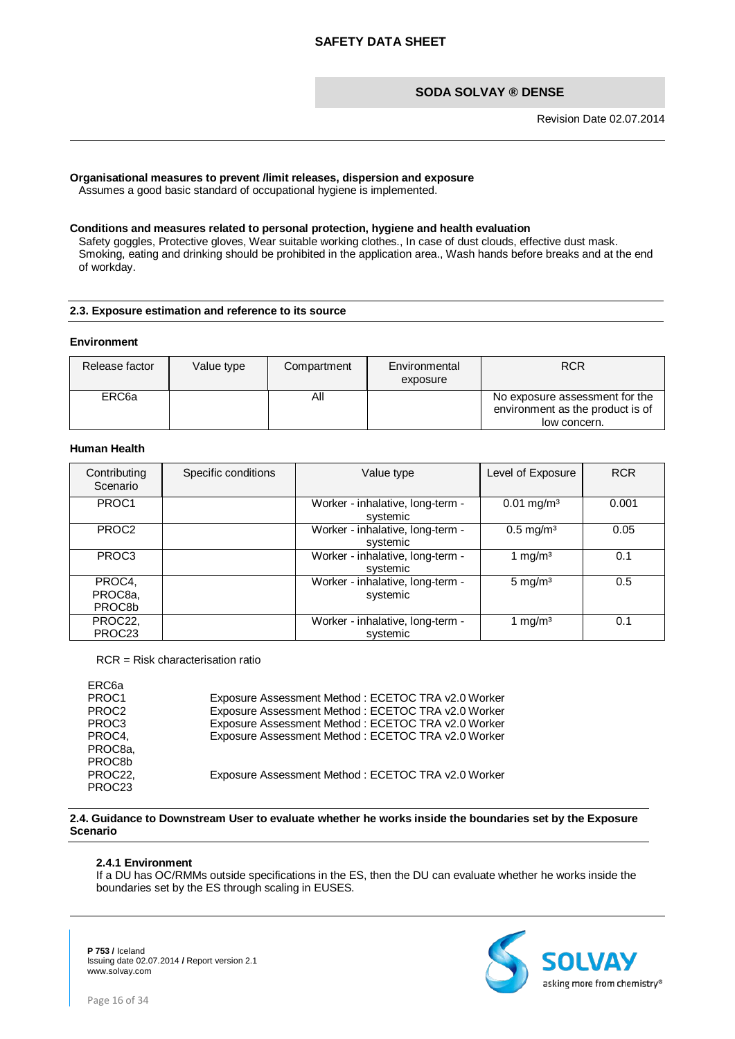Revision Date 02.07.2014

#### **Organisational measures to prevent /limit releases, dispersion and exposure**

Assumes a good basic standard of occupational hygiene is implemented.

#### **Conditions and measures related to personal protection, hygiene and health evaluation**

Safety goggles, Protective gloves, Wear suitable working clothes., In case of dust clouds, effective dust mask. Smoking, eating and drinking should be prohibited in the application area., Wash hands before breaks and at the end of workday.

#### **2.3. Exposure estimation and reference to its source**

#### **Environment**

| Release factor    | Value type | Compartment | Environmental<br>exposure | <b>RCR</b>                                                                         |
|-------------------|------------|-------------|---------------------------|------------------------------------------------------------------------------------|
| ERC <sub>6a</sub> |            | All         |                           | No exposure assessment for the<br>environment as the product is of<br>low concern. |

#### **Human Health**

| Contributing<br>Scenario | Specific conditions | Value type                                   | Level of Exposure        | <b>RCR</b> |
|--------------------------|---------------------|----------------------------------------------|--------------------------|------------|
| PROC1                    |                     | Worker - inhalative, long-term -<br>systemic | $0.01$ mg/m <sup>3</sup> | 0.001      |
| PROC <sub>2</sub>        |                     | Worker - inhalative, long-term -<br>systemic | $0.5$ mg/m <sup>3</sup>  | 0.05       |
| PROC <sub>3</sub>        |                     | Worker - inhalative, long-term -<br>systemic | 1 mg/m $3$               | 0.1        |
| PROC4,                   |                     | Worker - inhalative, long-term -             | $5 \text{ mg/m}^3$       | 0.5        |
| PROC <sub>8a</sub>       |                     | systemic                                     |                          |            |
| PROC8b                   |                     |                                              |                          |            |
| PROC22,                  |                     | Worker - inhalative, long-term -             | 1 mg/m $3$               | 0.1        |
| PROC <sub>23</sub>       |                     | systemic                                     |                          |            |

RCR = Risk characterisation ratio

| ERC <sub>6a</sub>   |                                                    |
|---------------------|----------------------------------------------------|
| PROC <sub>1</sub>   | Exposure Assessment Method: ECETOC TRA v2.0 Worker |
| PROC <sub>2</sub>   | Exposure Assessment Method: ECETOC TRA v2.0 Worker |
| PROC <sub>3</sub>   | Exposure Assessment Method: ECETOC TRA v2.0 Worker |
| PROC4,              | Exposure Assessment Method: ECETOC TRA v2.0 Worker |
| PROC <sub>8a</sub>  |                                                    |
| PROC <sub>8</sub> b |                                                    |
| PROC22,             | Exposure Assessment Method: ECETOC TRA v2.0 Worker |
| PROC <sub>23</sub>  |                                                    |

**2.4. Guidance to Downstream User to evaluate whether he works inside the boundaries set by the Exposure Scenario**

#### **2.4.1 Environment**

If a DU has OC/RMMs outside specifications in the ES, then the DU can evaluate whether he works inside the boundaries set by the ES through scaling in EUSES.

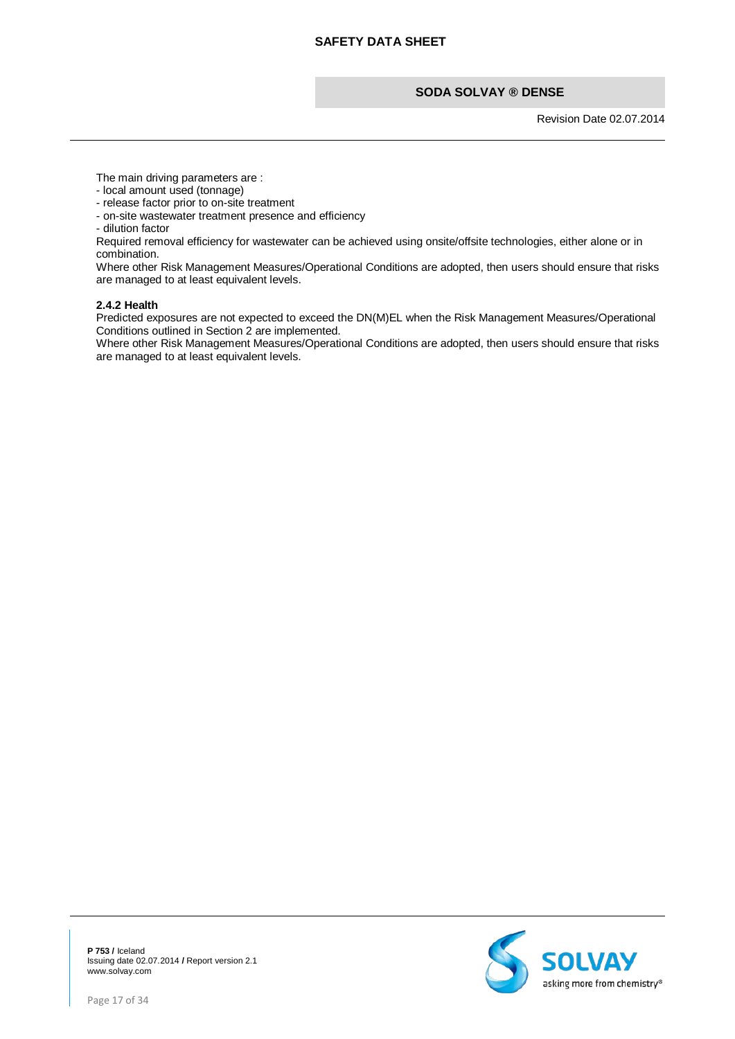Revision Date 02.07.2014

The main driving parameters are :

- local amount used (tonnage)
- release factor prior to on-site treatment
- on-site wastewater treatment presence and efficiency
- dilution factor

Required removal efficiency for wastewater can be achieved using onsite/offsite technologies, either alone or in combination.

Where other Risk Management Measures/Operational Conditions are adopted, then users should ensure that risks are managed to at least equivalent levels.

#### **2.4.2 Health**

Predicted exposures are not expected to exceed the DN(M)EL when the Risk Management Measures/Operational Conditions outlined in Section 2 are implemented.

Where other Risk Management Measures/Operational Conditions are adopted, then users should ensure that risks are managed to at least equivalent levels.

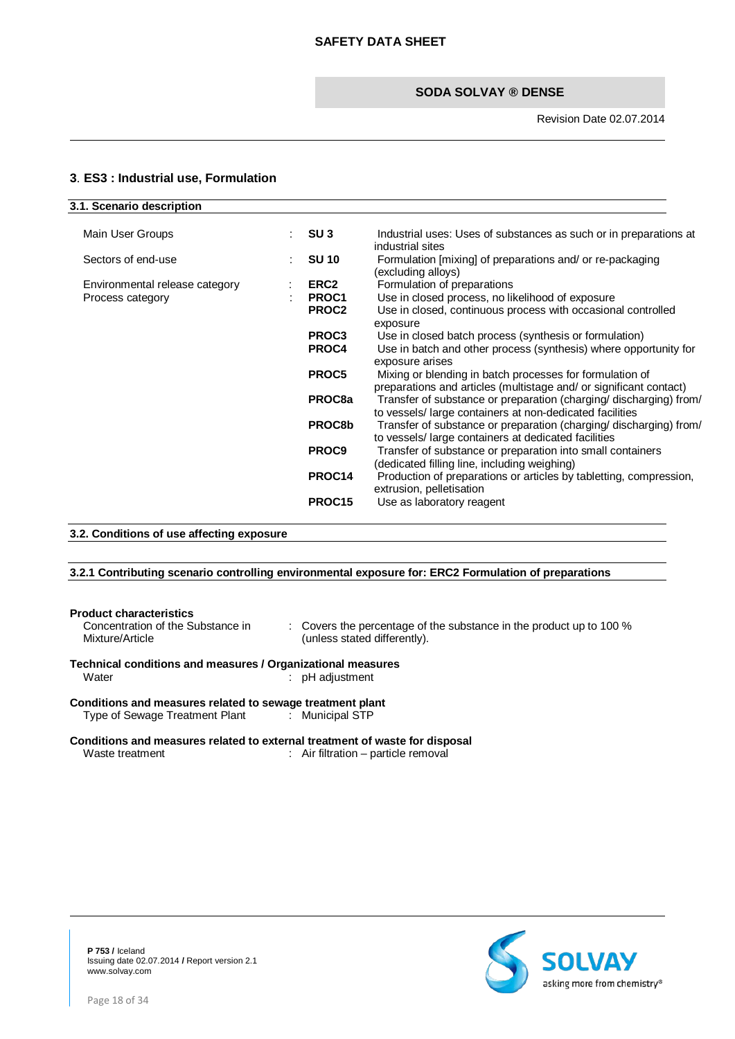# <span id="page-17-0"></span>**3**. **ES3 : Industrial use, Formulation**

| 3.1. Scenario description      |                    |                                                                                                                                |
|--------------------------------|--------------------|--------------------------------------------------------------------------------------------------------------------------------|
| Main User Groups               | SU <sub>3</sub>    | Industrial uses: Uses of substances as such or in preparations at<br>industrial sites                                          |
| Sectors of end-use             | <b>SU 10</b>       | Formulation [mixing] of preparations and/ or re-packaging<br>(excluding alloys)                                                |
| Environmental release category | ERC2               | Formulation of preparations                                                                                                    |
| Process category               | PROC1              | Use in closed process, no likelihood of exposure                                                                               |
|                                | PROC2              | Use in closed, continuous process with occasional controlled<br>exposure                                                       |
|                                | PROC <sub>3</sub>  | Use in closed batch process (synthesis or formulation)                                                                         |
|                                | PROC4              | Use in batch and other process (synthesis) where opportunity for<br>exposure arises                                            |
|                                | PROC5              | Mixing or blending in batch processes for formulation of<br>preparations and articles (multistage and/ or significant contact) |
|                                | PROC8a             | Transfer of substance or preparation (charging/ discharging) from/<br>to vessels/large containers at non-dedicated facilities  |
|                                | PROC8b             | Transfer of substance or preparation (charging/ discharging) from/<br>to vessels/large containers at dedicated facilities      |
|                                | PROC9              | Transfer of substance or preparation into small containers<br>(dedicated filling line, including weighing)                     |
|                                | PROC14             | Production of preparations or articles by tabletting, compression,<br>extrusion, pelletisation                                 |
|                                | PROC <sub>15</sub> | Use as laboratory reagent                                                                                                      |
|                                |                    |                                                                                                                                |

# **3.2. Conditions of use affecting exposure**

# **3.2.1 Contributing scenario controlling environmental exposure for: ERC2 Formulation of preparations**

| <b>Product characteristics</b><br>Concentration of the Substance in<br>Mixture/Article | $\therefore$ Covers the percentage of the substance in the product up to 100 %<br>(unless stated differently). |
|----------------------------------------------------------------------------------------|----------------------------------------------------------------------------------------------------------------|
| Technical conditions and measures / Organizational measures                            |                                                                                                                |
| Water                                                                                  | $:$ pH adjustment                                                                                              |
|                                                                                        |                                                                                                                |
| Conditions and measures related to sewage treatment plant                              |                                                                                                                |
| Type of Sewage Treatment Plant : Municipal STP                                         |                                                                                                                |
|                                                                                        |                                                                                                                |
| Conditions and measures related to external treatment of waste for disposal            |                                                                                                                |

Waste treatment : Air filtration – particle removal

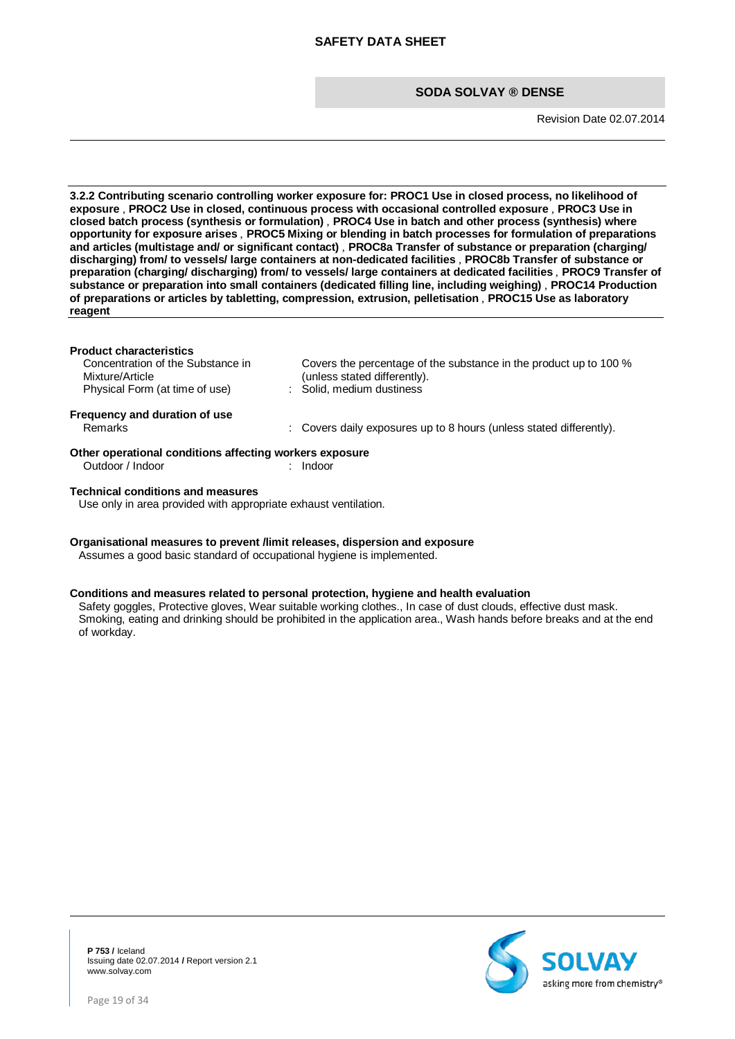Revision Date 02.07.2014

**3.2.2 Contributing scenario controlling worker exposure for: PROC1 Use in closed process, no likelihood of exposure** , **PROC2 Use in closed, continuous process with occasional controlled exposure** , **PROC3 Use in closed batch process (synthesis or formulation)** , **PROC4 Use in batch and other process (synthesis) where opportunity for exposure arises** , **PROC5 Mixing or blending in batch processes for formulation of preparations and articles (multistage and/ or significant contact)** , **PROC8a Transfer of substance or preparation (charging/ discharging) from/ to vessels/ large containers at non-dedicated facilities** , **PROC8b Transfer of substance or preparation (charging/ discharging) from/ to vessels/ large containers at dedicated facilities** , **PROC9 Transfer of substance or preparation into small containers (dedicated filling line, including weighing)** , **PROC14 Production of preparations or articles by tabletting, compression, extrusion, pelletisation** , **PROC15 Use as laboratory reagent**

#### **Product characteristics**

Outdoor / Indoor : Indoor

Concentration of the Substance in Mixture/Article Physical Form (at time of use)

Covers the percentage of the substance in the product up to 100 % (unless stated differently).<br>: Solid, medium dustiness

: Covers daily exposures up to 8 hours (unless stated differently).

**Frequency and duration of use**

**Other operational conditions affecting workers exposure**<br>
Outdoor / Indoor<br>
Lindoor<br>
Lindoor

#### **Technical conditions and measures**

Use only in area provided with appropriate exhaust ventilation.

#### **Organisational measures to prevent /limit releases, dispersion and exposure** Assumes a good basic standard of occupational hygiene is implemented.

# **Conditions and measures related to personal protection, hygiene and health evaluation**

Safety goggles, Protective gloves, Wear suitable working clothes., In case of dust clouds, effective dust mask. Smoking, eating and drinking should be prohibited in the application area., Wash hands before breaks and at the end of workday.

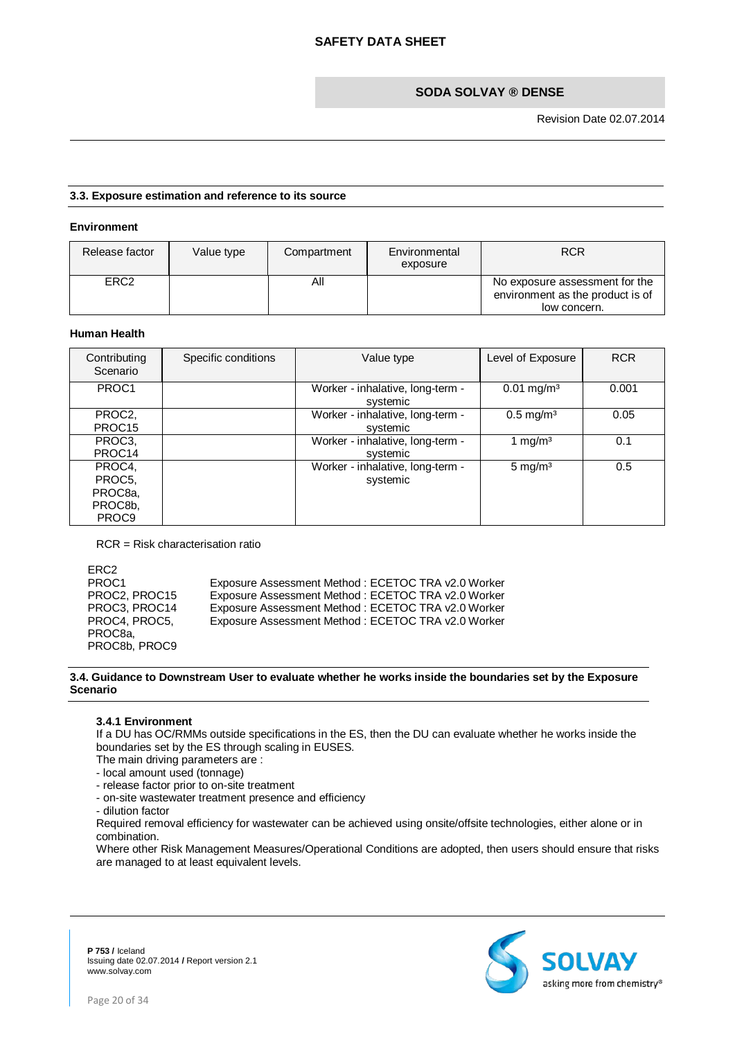#### **3.3. Exposure estimation and reference to its source**

#### **Environment**

| Release factor   | Value type | Compartment | Environmental<br>exposure | <b>RCR</b>                                                                         |
|------------------|------------|-------------|---------------------------|------------------------------------------------------------------------------------|
| ERC <sub>2</sub> |            | ΑIΙ         |                           | No exposure assessment for the<br>environment as the product is of<br>low concern. |

# **Human Health**

| Contributing<br>Scenario                                                          | Specific conditions | Value type                                   | Level of Exposure        | <b>RCR</b> |
|-----------------------------------------------------------------------------------|---------------------|----------------------------------------------|--------------------------|------------|
| PROC1                                                                             |                     | Worker - inhalative, long-term -<br>systemic | $0.01$ mg/m <sup>3</sup> | 0.001      |
| PROC <sub>2</sub><br>PROC <sub>15</sub>                                           |                     | Worker - inhalative, long-term -<br>systemic | $0.5 \,\mathrm{mg/m^3}$  | 0.05       |
| PROC3,<br>PROC <sub>14</sub>                                                      |                     | Worker - inhalative, long-term -<br>systemic | 1 mg/m <sup>3</sup>      | 0.1        |
| PROC4,<br>PROC <sub>5</sub><br>PROC <sub>8a</sub><br>PROC8b,<br>PROC <sub>9</sub> |                     | Worker - inhalative, long-term -<br>systemic | $5 \text{ mg/m}^3$       | 0.5        |

RCR = Risk characterisation ratio

ERC2<br>PROC1 PROC1 Exposure Assessment Method : ECETOC TRA v2.0 Worker<br>
PROC2, PROC15 Exposure Assessment Method : ECETOC TRA v2.0 Worker PROC2, PROC15 Exposure Assessment Method : ECETOC TRA v2.0 Worker PROC3, PROC14 Exposure Assessment Method : ECETOC TRA v2.0 Worker PROC4, PROC5, PROC8a, PROC8b, PROC9 Exposure Assessment Method : ECETOC TRA v2.0 Worker

#### **3.4. Guidance to Downstream User to evaluate whether he works inside the boundaries set by the Exposure Scenario**

#### **3.4.1 Environment**

If a DU has OC/RMMs outside specifications in the ES, then the DU can evaluate whether he works inside the boundaries set by the ES through scaling in EUSES.

The main driving parameters are :

- local amount used (tonnage)
- release factor prior to on-site treatment
- on-site wastewater treatment presence and efficiency
- dilution factor

Required removal efficiency for wastewater can be achieved using onsite/offsite technologies, either alone or in combination.

Where other Risk Management Measures/Operational Conditions are adopted, then users should ensure that risks are managed to at least equivalent levels.



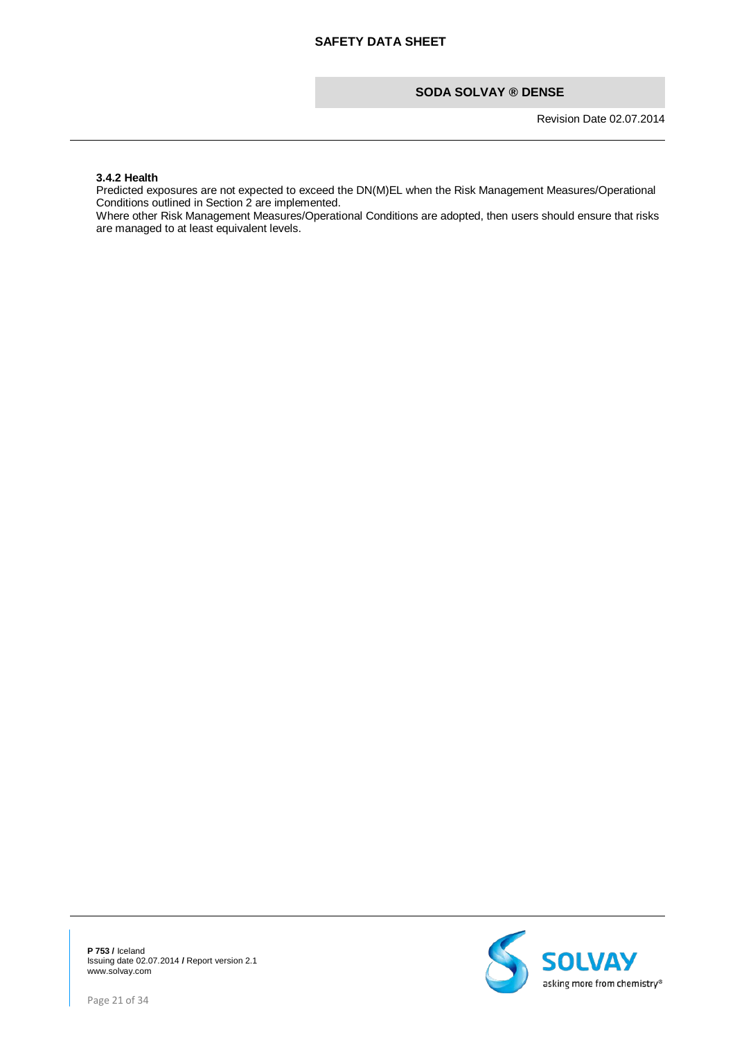Revision Date 02.07.2014

#### **3.4.2 Health**

Predicted exposures are not expected to exceed the DN(M)EL when the Risk Management Measures/Operational Conditions outlined in Section 2 are implemented.

Where other Risk Management Measures/Operational Conditions are adopted, then users should ensure that risks are managed to at least equivalent levels.

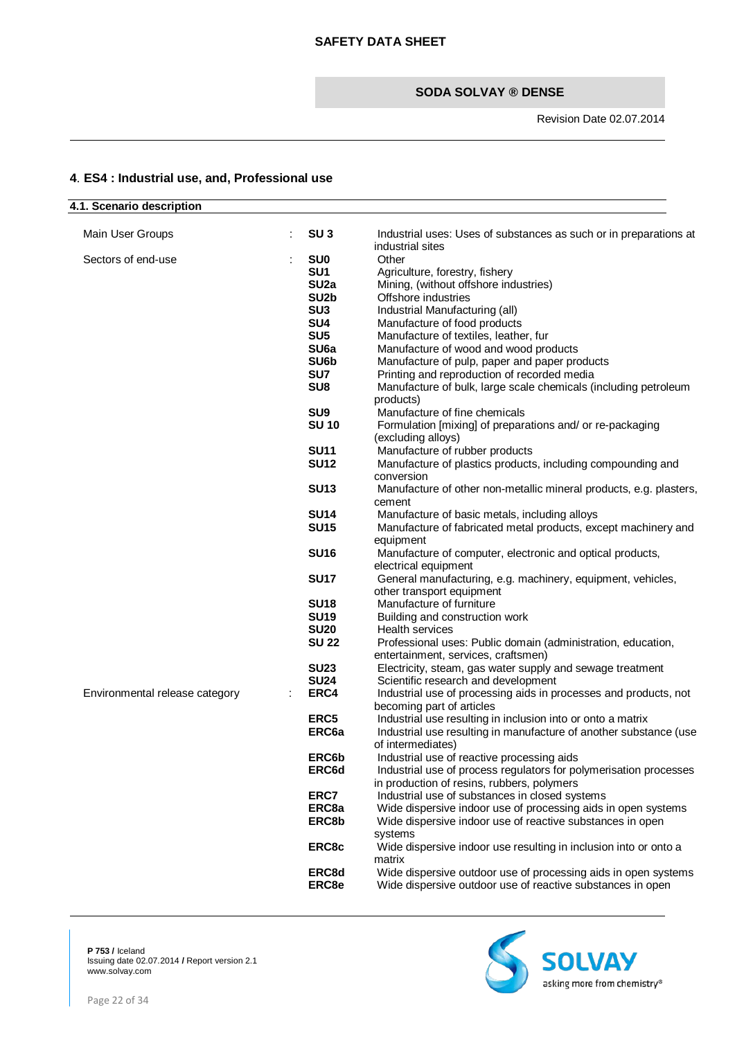# <span id="page-21-0"></span>**4**. **ES4 : Industrial use, and, Professional use**

| 4.1. Scenario description      |                   |                                                                    |
|--------------------------------|-------------------|--------------------------------------------------------------------|
|                                |                   |                                                                    |
| Main User Groups               | SU <sub>3</sub>   | Industrial uses: Uses of substances as such or in preparations at  |
|                                |                   | industrial sites                                                   |
| Sectors of end-use             | <b>SU0</b>        | Other                                                              |
|                                | SU <sub>1</sub>   | Agriculture, forestry, fishery                                     |
|                                | SU <sub>2a</sub>  | Mining, (without offshore industries)                              |
|                                | SU <sub>2</sub> b | Offshore industries                                                |
|                                | SU <sub>3</sub>   | Industrial Manufacturing (all)                                     |
|                                | SU <sub>4</sub>   | Manufacture of food products                                       |
|                                | SU <sub>5</sub>   | Manufacture of textiles, leather, fur                              |
|                                | SU <sub>6a</sub>  | Manufacture of wood and wood products                              |
|                                | SU6b              |                                                                    |
|                                |                   | Manufacture of pulp, paper and paper products                      |
|                                | SU7               | Printing and reproduction of recorded media                        |
|                                | SU <sub>8</sub>   | Manufacture of bulk, large scale chemicals (including petroleum    |
|                                |                   | products)                                                          |
|                                | SU <sub>9</sub>   | Manufacture of fine chemicals                                      |
|                                | <b>SU 10</b>      | Formulation [mixing] of preparations and/ or re-packaging          |
|                                |                   | (excluding alloys)                                                 |
|                                | <b>SU11</b>       | Manufacture of rubber products                                     |
|                                | <b>SU12</b>       | Manufacture of plastics products, including compounding and        |
|                                |                   | conversion                                                         |
|                                | <b>SU13</b>       | Manufacture of other non-metallic mineral products, e.g. plasters, |
|                                |                   | cement                                                             |
|                                | <b>SU14</b>       | Manufacture of basic metals, including alloys                      |
|                                | <b>SU15</b>       | Manufacture of fabricated metal products, except machinery and     |
|                                |                   | equipment                                                          |
|                                | <b>SU16</b>       | Manufacture of computer, electronic and optical products,          |
|                                |                   | electrical equipment                                               |
|                                | <b>SU17</b>       | General manufacturing, e.g. machinery, equipment, vehicles,        |
|                                |                   |                                                                    |
|                                |                   | other transport equipment                                          |
|                                | <b>SU18</b>       | Manufacture of furniture                                           |
|                                | <b>SU19</b>       | Building and construction work                                     |
|                                | <b>SU20</b>       | <b>Health services</b>                                             |
|                                | <b>SU 22</b>      | Professional uses: Public domain (administration, education,       |
|                                |                   | entertainment, services, craftsmen)                                |
|                                | <b>SU23</b>       | Electricity, steam, gas water supply and sewage treatment          |
|                                | <b>SU24</b>       | Scientific research and development                                |
| Environmental release category | ERC4              | Industrial use of processing aids in processes and products, not   |
|                                |                   | becoming part of articles                                          |
|                                | ERC <sub>5</sub>  | Industrial use resulting in inclusion into or onto a matrix        |
|                                | ERC <sub>6a</sub> | Industrial use resulting in manufacture of another substance (use  |
|                                |                   | of intermediates)                                                  |
|                                | ERC6b             | Industrial use of reactive processing aids                         |
|                                | ERC6d             | Industrial use of process regulators for polymerisation processes  |
|                                |                   | in production of resins, rubbers, polymers                         |
|                                | ERC7              | Industrial use of substances in closed systems                     |
|                                | ERC8a             | Wide dispersive indoor use of processing aids in open systems      |
|                                | ERC8b             | Wide dispersive indoor use of reactive substances in open          |
|                                |                   | systems                                                            |
|                                | ERC8c             | Wide dispersive indoor use resulting in inclusion into or onto a   |
|                                |                   | matrix                                                             |
|                                |                   |                                                                    |
|                                | ERC8d             | Wide dispersive outdoor use of processing aids in open systems     |
|                                | ERC8e             | Wide dispersive outdoor use of reactive substances in open         |

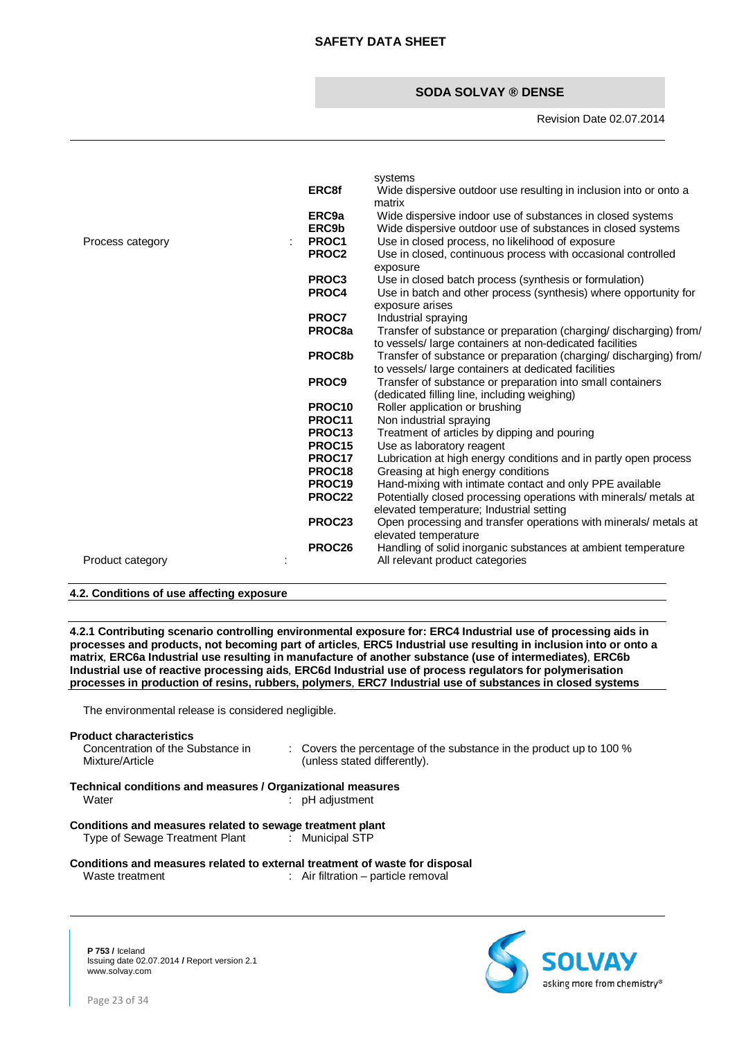#### Revision Date 02.07.2014

| Process category<br>$\ddot{\phantom{a}}$ | <b>ERC8f</b><br>ERC9a<br>ERC9b<br>PROC1<br>PROC <sub>2</sub> | systems<br>Wide dispersive outdoor use resulting in inclusion into or onto a<br>matrix<br>Wide dispersive indoor use of substances in closed systems<br>Wide dispersive outdoor use of substances in closed systems<br>Use in closed process, no likelihood of exposure<br>Use in closed, continuous process with occasional controlled<br>exposure |
|------------------------------------------|--------------------------------------------------------------|-----------------------------------------------------------------------------------------------------------------------------------------------------------------------------------------------------------------------------------------------------------------------------------------------------------------------------------------------------|
|                                          | PROC3<br>PROC4                                               | Use in closed batch process (synthesis or formulation)<br>Use in batch and other process (synthesis) where opportunity for<br>exposure arises                                                                                                                                                                                                       |
|                                          | PROC7<br>PROC <sub>8a</sub>                                  | Industrial spraying<br>Transfer of substance or preparation (charging/ discharging) from/<br>to vessels/ large containers at non-dedicated facilities                                                                                                                                                                                               |
|                                          | PROC8b                                                       | Transfer of substance or preparation (charging/ discharging) from/<br>to vessels/ large containers at dedicated facilities                                                                                                                                                                                                                          |
|                                          | PROC9                                                        | Transfer of substance or preparation into small containers<br>(dedicated filling line, including weighing)                                                                                                                                                                                                                                          |
|                                          | PROC <sub>10</sub><br>PROC11                                 | Roller application or brushing                                                                                                                                                                                                                                                                                                                      |
|                                          | PROC <sub>13</sub>                                           | Non industrial spraying<br>Treatment of articles by dipping and pouring                                                                                                                                                                                                                                                                             |
|                                          | PROC15                                                       | Use as laboratory reagent                                                                                                                                                                                                                                                                                                                           |
|                                          | PROC17<br>PROC18                                             | Lubrication at high energy conditions and in partly open process<br>Greasing at high energy conditions                                                                                                                                                                                                                                              |
|                                          | PROC <sub>19</sub>                                           | Hand-mixing with intimate contact and only PPE available                                                                                                                                                                                                                                                                                            |
|                                          | PROC22                                                       | Potentially closed processing operations with minerals/ metals at                                                                                                                                                                                                                                                                                   |
|                                          | PROC23                                                       | elevated temperature; Industrial setting<br>Open processing and transfer operations with minerals/ metals at<br>elevated temperature                                                                                                                                                                                                                |
| Product category                         | PROC26                                                       | Handling of solid inorganic substances at ambient temperature<br>All relevant product categories                                                                                                                                                                                                                                                    |
|                                          |                                                              |                                                                                                                                                                                                                                                                                                                                                     |

#### **4.2. Conditions of use affecting exposure**

**4.2.1 Contributing scenario controlling environmental exposure for: ERC4 Industrial use of processing aids in processes and products, not becoming part of articles**, **ERC5 Industrial use resulting in inclusion into or onto a matrix**, **ERC6a Industrial use resulting in manufacture of another substance (use of intermediates)**, **ERC6b Industrial use of reactive processing aids**, **ERC6d Industrial use of process regulators for polymerisation processes in production of resins, rubbers, polymers**, **ERC7 Industrial use of substances in closed systems**

The environmental release is considered negligible.

#### **Product characteristics**

Concentration of the Substance in Mixture/Article

: Covers the percentage of the substance in the product up to 100 % (unless stated differently).

#### **Technical conditions and measures / Organizational measures** Water : when the state of the state of the state of the state of the state of the state of the state of the state of the state of the state of the state of the state of the state of the state of the state of the state of t

**Conditions and measures related to sewage treatment plant** Type of Sewage Treatment Plant

#### **Conditions and measures related to external treatment of waste for disposal Waste treatment**  $\cdot$  **Air filtration – particle removal** : Air filtration – particle removal

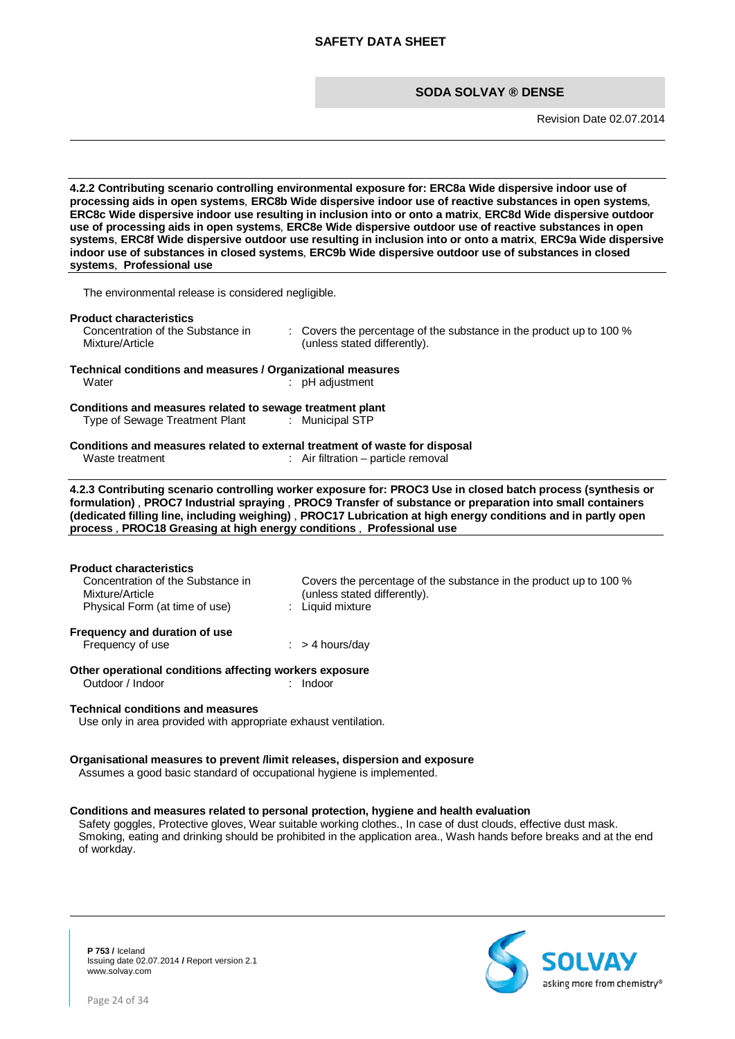Revision Date 02.07.2014

**4.2.2 Contributing scenario controlling environmental exposure for: ERC8a Wide dispersive indoor use of processing aids in open systems**, **ERC8b Wide dispersive indoor use of reactive substances in open systems**, **ERC8c Wide dispersive indoor use resulting in inclusion into or onto a matrix**, **ERC8d Wide dispersive outdoor use of processing aids in open systems**, **ERC8e Wide dispersive outdoor use of reactive substances in open systems**, **ERC8f Wide dispersive outdoor use resulting in inclusion into or onto a matrix**, **ERC9a Wide dispersive indoor use of substances in closed systems**, **ERC9b Wide dispersive outdoor use of substances in closed systems**, **Professional use**

The environmental release is considered negligible.

#### **Product characteristics**

Concentration of the Substance in Mixture/Article : Covers the percentage of the substance in the product up to 100 % (unless stated differently).

#### **Technical conditions and measures / Organizational measures**  $:$  pH adjustment

**Conditions and measures related to sewage treatment plant**

Type of Sewage Treatment Plant : Municipal STP

#### **Conditions and measures related to external treatment of waste for disposal Waste treatment**  $\cdot$  Air filtration – particle removal  $:$  Air filtration – particle removal

**4.2.3 Contributing scenario controlling worker exposure for: PROC3 Use in closed batch process (synthesis or formulation)** , **PROC7 Industrial spraying** , **PROC9 Transfer of substance or preparation into small containers (dedicated filling line, including weighing)** , **PROC17 Lubrication at high energy conditions and in partly open process** , **PROC18 Greasing at high energy conditions** , **Professional use**

#### **Product characteristics**

| Concentration of the Substance in                 | Covers the percentage of the substance in the product up to 100 % |
|---------------------------------------------------|-------------------------------------------------------------------|
| Mixture/Article                                   | (unless stated differently).                                      |
| Physical Form (at time of use)                    | : Liquid mixture                                                  |
| Frequency and duration of use<br>Frequency of use | $:$ > 4 hours/day                                                 |

#### **Other operational conditions affecting workers exposure**<br>
Outdoor / Indoor<br>
Lindoor<br>
Lindoor Outdoor / Indoor

#### **Technical conditions and measures**

Use only in area provided with appropriate exhaust ventilation.

#### **Organisational measures to prevent /limit releases, dispersion and exposure**

Assumes a good basic standard of occupational hygiene is implemented.

#### **Conditions and measures related to personal protection, hygiene and health evaluation**

Safety goggles, Protective gloves, Wear suitable working clothes., In case of dust clouds, effective dust mask. Smoking, eating and drinking should be prohibited in the application area., Wash hands before breaks and at the end of workday.

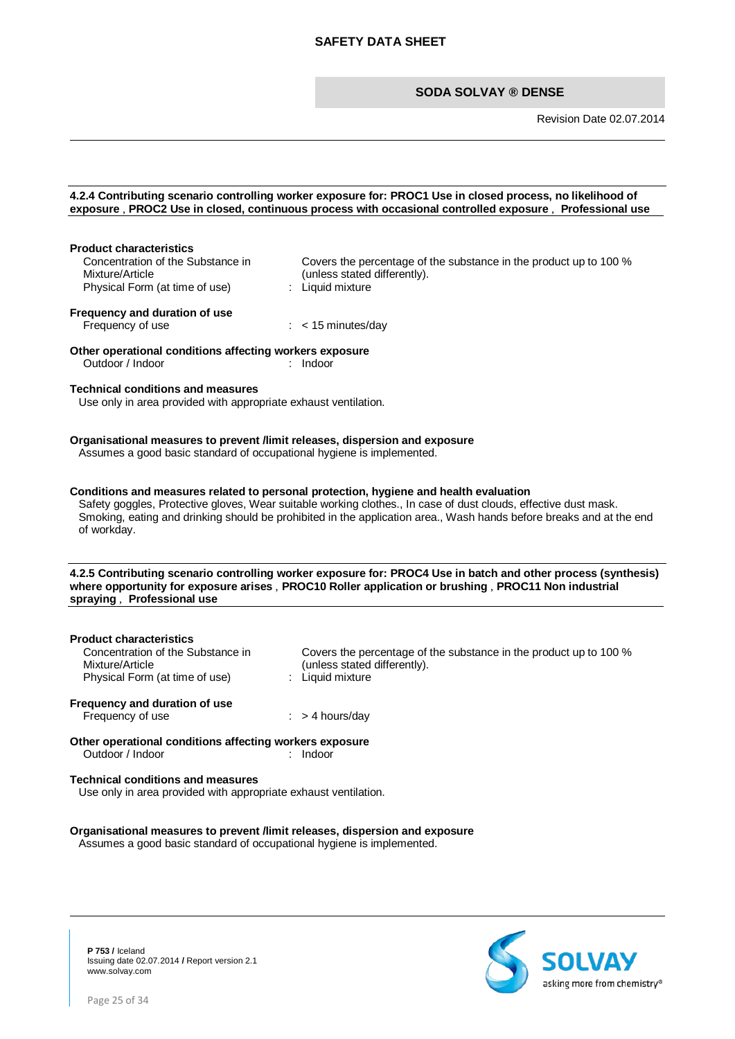Revision Date 02.07.2014

|                                                                                                                                                      | 4.2.4 Contributing scenario controlling worker exposure for: PROC1 Use in closed process, no likelihood of<br>exposure, PROC2 Use in closed, continuous process with occasional controlled exposure, Professional use                                                                                                           |
|------------------------------------------------------------------------------------------------------------------------------------------------------|---------------------------------------------------------------------------------------------------------------------------------------------------------------------------------------------------------------------------------------------------------------------------------------------------------------------------------|
|                                                                                                                                                      |                                                                                                                                                                                                                                                                                                                                 |
| <b>Product characteristics</b><br>Concentration of the Substance in<br>Mixture/Article<br>Physical Form (at time of use)                             | Covers the percentage of the substance in the product up to 100 %<br>(unless stated differently).<br>: Liquid mixture                                                                                                                                                                                                           |
| Frequency and duration of use<br>Frequency of use                                                                                                    | $:$ < 15 minutes/day                                                                                                                                                                                                                                                                                                            |
| Other operational conditions affecting workers exposure<br>Outdoor / Indoor                                                                          | : Indoor                                                                                                                                                                                                                                                                                                                        |
| <b>Technical conditions and measures</b><br>Use only in area provided with appropriate exhaust ventilation.                                          |                                                                                                                                                                                                                                                                                                                                 |
| Organisational measures to prevent /limit releases, dispersion and exposure<br>Assumes a good basic standard of occupational hygiene is implemented. |                                                                                                                                                                                                                                                                                                                                 |
| of workday.                                                                                                                                          | Conditions and measures related to personal protection, hygiene and health evaluation<br>Safety goggles, Protective gloves, Wear suitable working clothes., In case of dust clouds, effective dust mask.<br>Smoking, eating and drinking should be prohibited in the application area., Wash hands before breaks and at the end |
| spraying, Professional use                                                                                                                           | 4.2.5 Contributing scenario controlling worker exposure for: PROC4 Use in batch and other process (synthesis)<br>where opportunity for exposure arises, PROC10 Roller application or brushing, PROC11 Non industrial                                                                                                            |
|                                                                                                                                                      |                                                                                                                                                                                                                                                                                                                                 |
| <b>Product characteristics</b><br>Concentration of the Substance in<br>Mixture/Article<br>Physical Form (at time of use)                             | Covers the percentage of the substance in the product up to 100 %<br>(unless stated differently).<br>: Liquid mixture                                                                                                                                                                                                           |
| Frequency and duration of use<br>Frequency of use                                                                                                    | $:$ > 4 hours/day                                                                                                                                                                                                                                                                                                               |
| Other operational conditions affecting workers exposure<br>Outdoor / Indoor                                                                          | Indoor                                                                                                                                                                                                                                                                                                                          |
| <b>Technical conditions and measures</b><br>Use only in area provided with appropriate exhaust ventilation.                                          |                                                                                                                                                                                                                                                                                                                                 |
| Organisational measures to prevent /limit releases, dispersion and exposure<br>Assumes a good basic standard of occupational hygiene is implemented. |                                                                                                                                                                                                                                                                                                                                 |

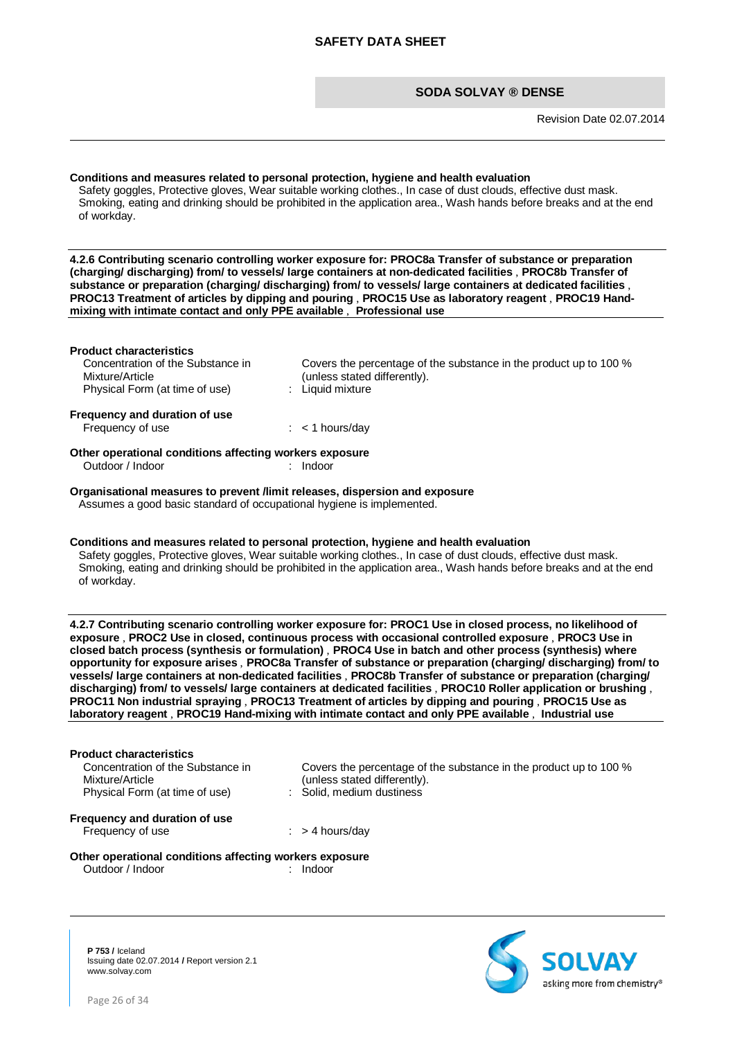Revision Date 02.07.2014

# **Conditions and measures related to personal protection, hygiene and health evaluation** Safety goggles, Protective gloves, Wear suitable working clothes., In case of dust clouds, effective dust mask. Smoking, eating and drinking should be prohibited in the application area., Wash hands before breaks and at the end of workday. **4.2.6 Contributing scenario controlling worker exposure for: PROC8a Transfer of substance or preparation (charging/ discharging) from/ to vessels/ large containers at non-dedicated facilities** , **PROC8b Transfer of substance or preparation (charging/ discharging) from/ to vessels/ large containers at dedicated facilities** , **PROC13 Treatment of articles by dipping and pouring** , **PROC15 Use as laboratory reagent** , **PROC19 Handmixing with intimate contact and only PPE available** , **Professional use Product characteristics** Concentration of the Substance in Mixture/Article Covers the percentage of the substance in the product up to 100 % (unless stated differently).<br>: Liquid mixture Physical Form (at time of use) **Frequency and duration of use** Frequency of use : < 1 hours/day **Other operational conditions affecting workers exposure** Outdoor / Indoor : Indoor : Indoor **Organisational measures to prevent /limit releases, dispersion and exposure** Assumes a good basic standard of occupational hygiene is implemented. **Conditions and measures related to personal protection, hygiene and health evaluation** Safety goggles, Protective gloves, Wear suitable working clothes., In case of dust clouds, effective dust mask. Smoking, eating and drinking should be prohibited in the application area., Wash hands before breaks and at the end of workday. **4.2.7 Contributing scenario controlling worker exposure for: PROC1 Use in closed process, no likelihood of exposure** , **PROC2 Use in closed, continuous process with occasional controlled exposure** , **PROC3 Use in closed batch process (synthesis or formulation)** , **PROC4 Use in batch and other process (synthesis) where opportunity for exposure arises** , **PROC8a Transfer of substance or preparation (charging/ discharging) from/ to vessels/ large containers at non-dedicated facilities** , **PROC8b Transfer of substance or preparation (charging/ discharging) from/ to vessels/ large containers at dedicated facilities** , **PROC10 Roller application or brushing** , **PROC11 Non industrial spraying** , **PROC13 Treatment of articles by dipping and pouring** , **PROC15 Use as laboratory reagent** , **PROC19 Hand-mixing with intimate contact and only PPE available** , **Industrial use Product characteristics** Concentration of the Substance in Mixture/Article Covers the percentage of the substance in the product up to 100 % (unless stated differently).<br>: Solid, medium dustiness Physical Form (at time of use) **Frequency and duration of use**

# **Other operational conditions affecting workers exposure**<br>
Outdoor / Indoor<br>
indoor<br>
1990

Frequency of use  $:$  > 4 hours/day

Outdoor / Indoor

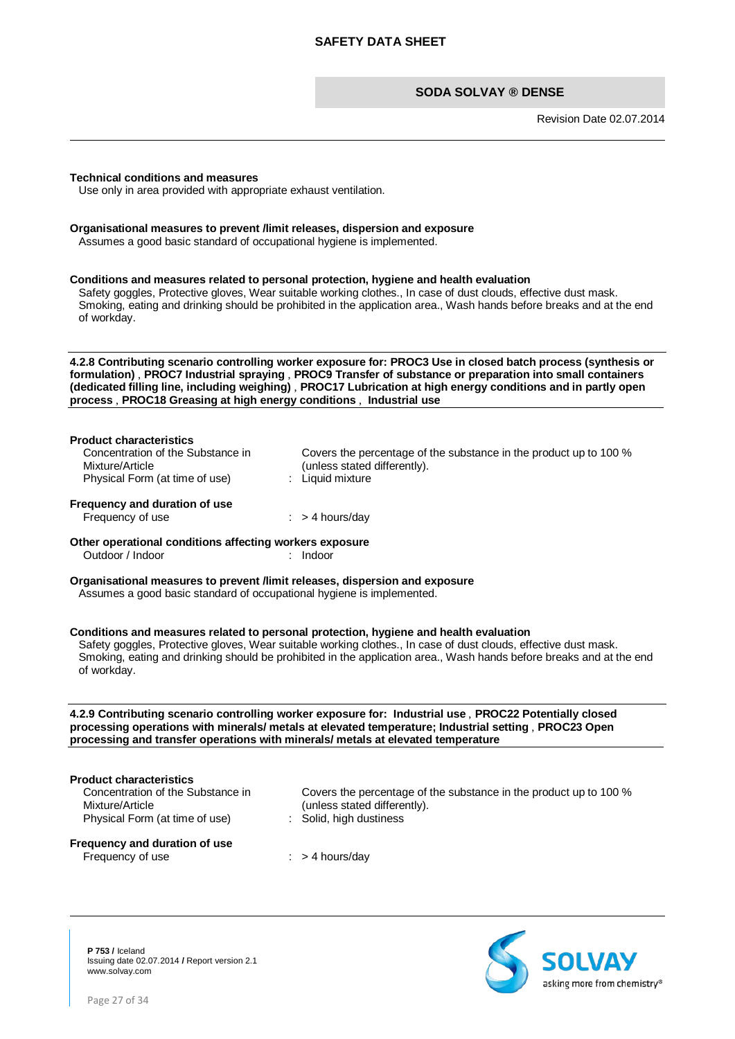Revision Date 02.07.2014

#### **Technical conditions and measures**

Use only in area provided with appropriate exhaust ventilation.

#### **Organisational measures to prevent /limit releases, dispersion and exposure**

Assumes a good basic standard of occupational hygiene is implemented.

#### **Conditions and measures related to personal protection, hygiene and health evaluation**

Safety goggles, Protective gloves, Wear suitable working clothes., In case of dust clouds, effective dust mask. Smoking, eating and drinking should be prohibited in the application area., Wash hands before breaks and at the end of workday.

**4.2.8 Contributing scenario controlling worker exposure for: PROC3 Use in closed batch process (synthesis or formulation)** , **PROC7 Industrial spraying** , **PROC9 Transfer of substance or preparation into small containers (dedicated filling line, including weighing)** , **PROC17 Lubrication at high energy conditions and in partly open process** , **PROC18 Greasing at high energy conditions** , **Industrial use**

#### **Product characteristics**

| Concentration of the Substance in | Covers the percentage of the substance in the product up to 100 % |
|-----------------------------------|-------------------------------------------------------------------|
| Mixture/Article                   | (unless stated differently).                                      |
| Physical Form (at time of use)    | : Liquid mixture                                                  |
|                                   |                                                                   |

**Frequency and duration of use**

Frequency of use  $:$  > 4 hours/day

#### **Other operational conditions affecting workers exposure** Outdoor / Indoor : Indoor

**Organisational measures to prevent /limit releases, dispersion and exposure**

Assumes a good basic standard of occupational hygiene is implemented.

#### **Conditions and measures related to personal protection, hygiene and health evaluation**

Safety goggles, Protective gloves, Wear suitable working clothes., In case of dust clouds, effective dust mask. Smoking, eating and drinking should be prohibited in the application area., Wash hands before breaks and at the end of workday.

#### **4.2.9 Contributing scenario controlling worker exposure for: Industrial use** , **PROC22 Potentially closed processing operations with minerals/ metals at elevated temperature; Industrial setting** , **PROC23 Open processing and transfer operations with minerals/ metals at elevated temperature**

#### **Product characteristics**

Concentration of the Substance in Mixture/Article Physical Form (at time of use)

Covers the percentage of the substance in the product up to 100 % (unless stated differently).<br>: Solid, high dustiness

#### **Frequency and duration of use** Frequency of use  $\cdot$  > 4 hours/day

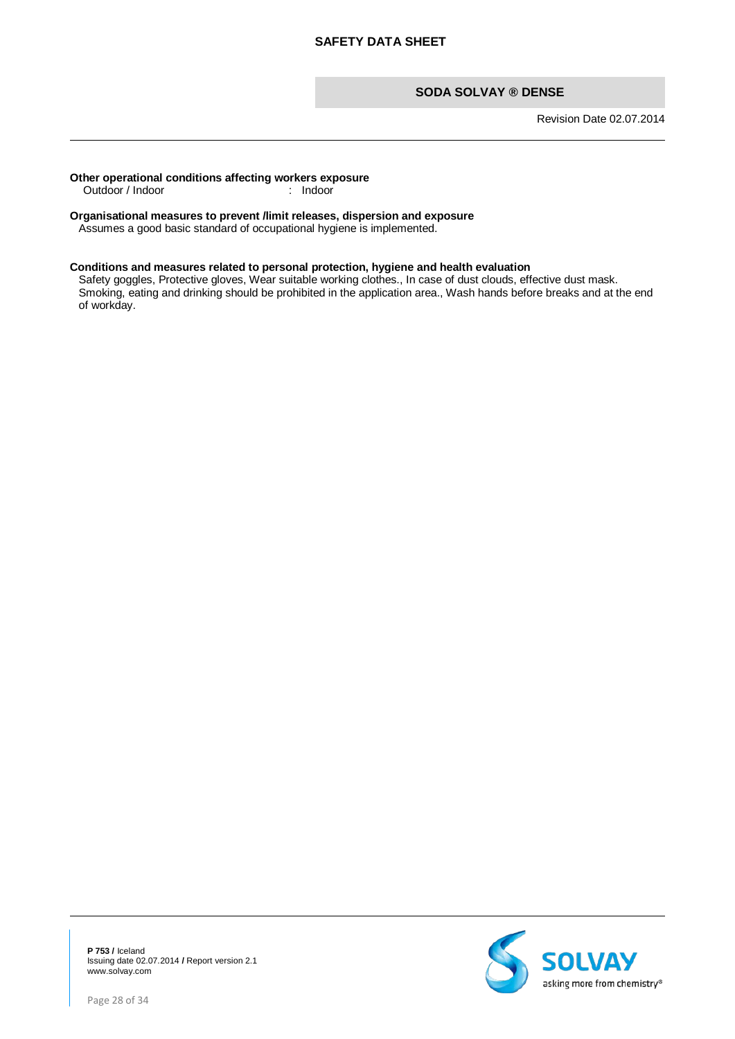Revision Date 02.07.2014

# **Other operational conditions affecting workers exposure**<br>
Outdoor / Indoor : Indoor

Outdoor / Indoor

# **Organisational measures to prevent /limit releases, dispersion and exposure**

Assumes a good basic standard of occupational hygiene is implemented.

#### **Conditions and measures related to personal protection, hygiene and health evaluation**

Safety goggles, Protective gloves, Wear suitable working clothes., In case of dust clouds, effective dust mask. Smoking, eating and drinking should be prohibited in the application area., Wash hands before breaks and at the end of workday.

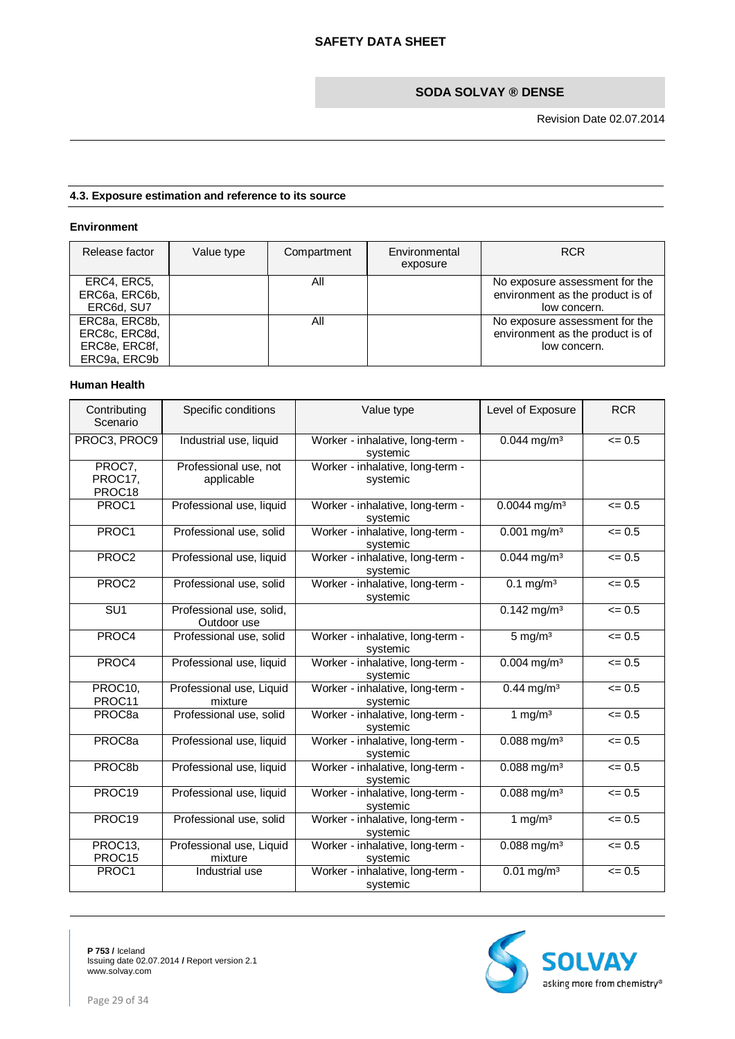# **4.3. Exposure estimation and reference to its source**

# **Environment**

| Release factor                                                  | Value type | Compartment | Environmental<br>exposure | <b>RCR</b>                                                                         |
|-----------------------------------------------------------------|------------|-------------|---------------------------|------------------------------------------------------------------------------------|
| ERC4, ERC5,<br>ERC6a, ERC6b,<br>ERC6d, SU7                      |            | Αll         |                           | No exposure assessment for the<br>environment as the product is of<br>low concern. |
| ERC8a, ERC8b,<br>ERC8c, ERC8d,<br>ERC8e, ERC8f,<br>ERC9a, ERC9b |            | All         |                           | No exposure assessment for the<br>environment as the product is of<br>low concern. |

# **Human Health**

| Contributing<br>Scenario    | Specific conditions                     | Value type                                   | Level of Exposure                    | <b>RCR</b> |
|-----------------------------|-----------------------------------------|----------------------------------------------|--------------------------------------|------------|
| PROC3, PROC9                | Industrial use, liquid                  | Worker - inhalative, long-term -<br>systemic | $0.044$ mg/m <sup>3</sup>            | $= 0.5$    |
| PROC7.<br>PROC17,<br>PROC18 | Professional use, not<br>applicable     | Worker - inhalative, long-term -<br>systemic |                                      |            |
| PROC1                       | Professional use, liquid                | Worker - inhalative, long-term -<br>systemic | $0.0044$ mg/m <sup>3</sup>           | $= 0.5$    |
| PROC1                       | Professional use, solid                 | Worker - inhalative, long-term -<br>systemic | $0.001$ mg/m <sup>3</sup>            | $= 0.5$    |
| PROC2                       | Professional use, liquid                | Worker - inhalative, long-term -<br>systemic | $0.044$ mg/m <sup>3</sup>            | $= 0.5$    |
| PROC <sub>2</sub>           | Professional use, solid                 | Worker - inhalative, long-term -<br>systemic | $0.1 \text{ mg/m}^3$                 | $= 0.5$    |
| SU1                         | Professional use, solid,<br>Outdoor use |                                              | $0.142$ mg/m <sup>3</sup>            | $= 0.5$    |
| PROC4                       | Professional use, solid                 | Worker - inhalative, long-term -<br>systemic | $5 \text{ mg/m}^3$                   | $= 0.5$    |
| PROC4                       | Professional use, liquid                | Worker - inhalative, long-term -<br>systemic | $0.004$ mg/m <sup>3</sup>            | $= 0.5$    |
| PROC10,<br>PROC11           | Professional use, Liquid<br>mixture     | Worker - inhalative, long-term -<br>systemic | $0.44$ mg/m <sup>3</sup>             | $= 0.5$    |
| PROC8a                      | Professional use, solid                 | Worker - inhalative, long-term -<br>systemic | 1 mg/m $3$                           | $= 0.5$    |
| PROC <sub>8a</sub>          | Professional use, liquid                | Worker - inhalative, long-term -<br>systemic | $0.088$ mg/m <sup>3</sup>            | $= 0.5$    |
| PROC8b                      | Professional use, liquid                | Worker - inhalative, long-term -<br>systemic | $\overline{0.088}$ mg/m <sup>3</sup> | $= 0.5$    |
| PROC19                      | Professional use, liquid                | Worker - inhalative, long-term -<br>systemic | $0.088$ mg/m <sup>3</sup>            | $= 0.5$    |
| PROC <sub>19</sub>          | Professional use, solid                 | Worker - inhalative, long-term -<br>systemic | 1 mg/ $m3$                           | $= 0.5$    |
| PROC13,<br>PROC15           | Professional use, Liquid<br>mixture     | Worker - inhalative, long-term -<br>systemic | $0.088$ mg/m <sup>3</sup>            | $= 0.5$    |
| PROC1                       | Industrial use                          | Worker - inhalative, long-term -<br>systemic | $\overline{0.01}$ mg/m <sup>3</sup>  | $= 0.5$    |

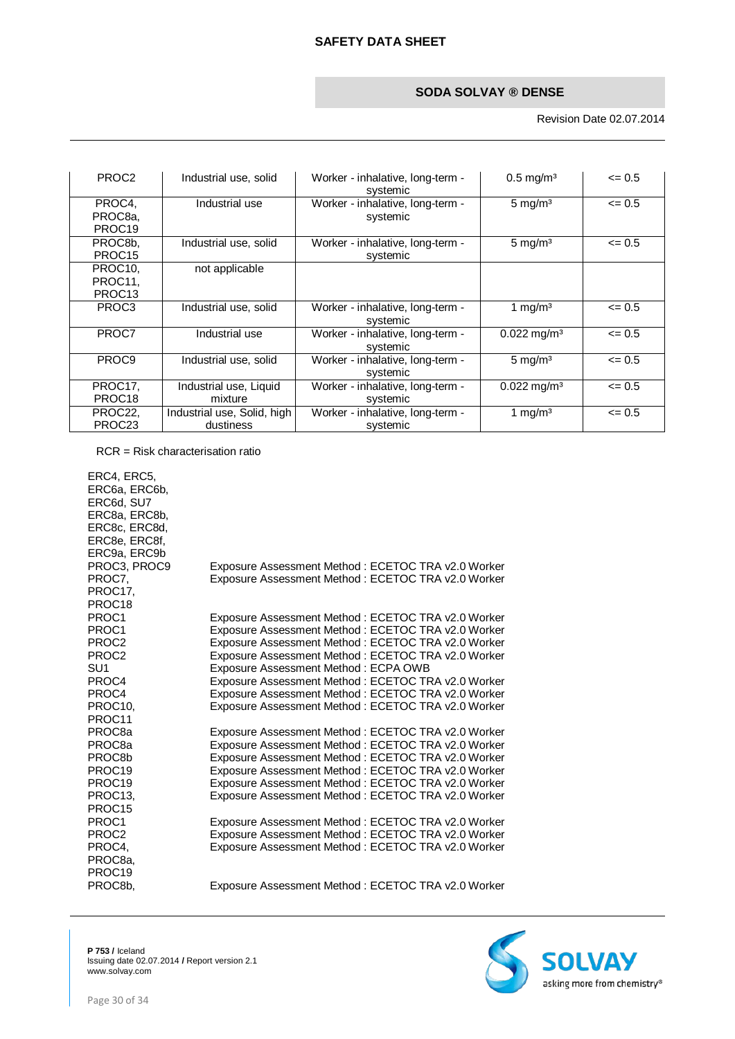Revision Date 02.07.2014

| PROC <sub>2</sub>                                   | Industrial use, solid                    | Worker - inhalative, long-term -<br>systemic | $0.5$ mg/m <sup>3</sup>   | $\leq 0.5$ |
|-----------------------------------------------------|------------------------------------------|----------------------------------------------|---------------------------|------------|
| PROC4.<br>PROC8a,<br>PROC <sub>19</sub>             | Industrial use                           | Worker - inhalative, long-term -<br>systemic | $5 \text{ mg/m}^3$        | $\leq$ 0.5 |
| PROC8b.<br>PROC <sub>15</sub>                       | Industrial use, solid                    | Worker - inhalative, long-term -<br>systemic | $5 \text{ mg/m}^3$        | $\leq 0.5$ |
| PROC <sub>10</sub><br>PROC11,<br>PROC <sub>13</sub> | not applicable                           |                                              |                           |            |
| PROC <sub>3</sub>                                   | Industrial use, solid                    | Worker - inhalative, long-term -<br>systemic | 1 mg/m <sup>3</sup>       | $\leq$ 0.5 |
| PROC7                                               | Industrial use                           | Worker - inhalative, long-term -<br>systemic | $0.022 \,\mathrm{mq/m^3}$ | $\leq 0.5$ |
| PROC <sub>9</sub>                                   | Industrial use, solid                    | Worker - inhalative, long-term -<br>systemic | $5 \text{ mg/m}^3$        | $\leq 0.5$ |
| PROC17,<br>PROC <sub>18</sub>                       | Industrial use, Liquid<br>mixture        | Worker - inhalative, long-term -<br>systemic | $0.022 \,\mathrm{mq/m^3}$ | $\leq 0.5$ |
| PROC22,<br>PROC <sub>23</sub>                       | Industrial use, Solid, high<br>dustiness | Worker - inhalative, long-term -<br>systemic | 1 mg/m <sup>3</sup>       | $\leq 0.5$ |

RCR = Risk characterisation ratio

ERC4, ERC5, ERC6a, ERC6b, ERC6d, SU7 ERC8a, ERC8b, ERC8c, ERC8d, ERC8e, ERC8f, ERC9a, ERC9b<br>PROC3, PROC9 Exposure Assessment Method : ECETOC TRA v2.0 Worker PROC7, PROC17, PROC18<br>PROC1 Exposure Assessment Method : ECETOC TRA v2.0 Worker PROC1 Exposure Assessment Method : ECETOC TRA v2.0 Worker<br>
PROC1 Exposure Assessment Method : ECETOC TRA v2.0 Worker PROC1 Exposure Assessment Method : ECETOC TRA v2.0 Worker PROC2 Exposure Assessment Method : ECETOC TRA v2.0 Worker PROC2 Exposure Assessment Method : ECETOC TRA v2.0 Worker SU1 Exposure Assessment Method : ECPA OWB<br>
PROC4 Exposure Assessment Method : ECETOC TR PROC4 Exposure Assessment Method : ECETOC TRA v2.0 Worker<br>
Exposure Assessment Method : ECETOC TRA v2.0 Worker Exposure Assessment Method : ECETOC TRA v2.0 Worker PROC10, PROC11<br>PROC8a Exposure Assessment Method : ECETOC TRA v2.0 Worker Exposure Assessment Method : ECETOC TRA v2.0 Worker PROC8a Exposure Assessment Method : ECETOC TRA v2.0 Worker PROC8b Exposure Assessment Method : ECETOC TRA v2.0 Worker<br>
PROC19 Exposure Assessment Method : ECETOC TRA v2.0 Worker PROC19 Exposure Assessment Method : ECETOC TRA v2.0 Worker<br>
PROC19 Exposure Assessment Method : ECETOC TRA v2.0 Worker Exposure Assessment Method : ECETOC TRA v2.0 Worker PROC13, PROC15<br>PROC1 Exposure Assessment Method : ECETOC TRA v2.0 Worker PROC1 Exposure Assessment Method : ECETOC TRA v2.0 Worker<br>
PROC2 Exposure Assessment Method : ECETOC TRA v2.0 Worker Exposure Assessment Method : ECETOC TRA v2.0 Worker PROC4, PROC8a, PROC19<br>PROC8b, Exposure Assessment Method : ECETOC TRA v2.0 Worker Exposure Assessment Method : ECETOC TRA v2.0 Worker

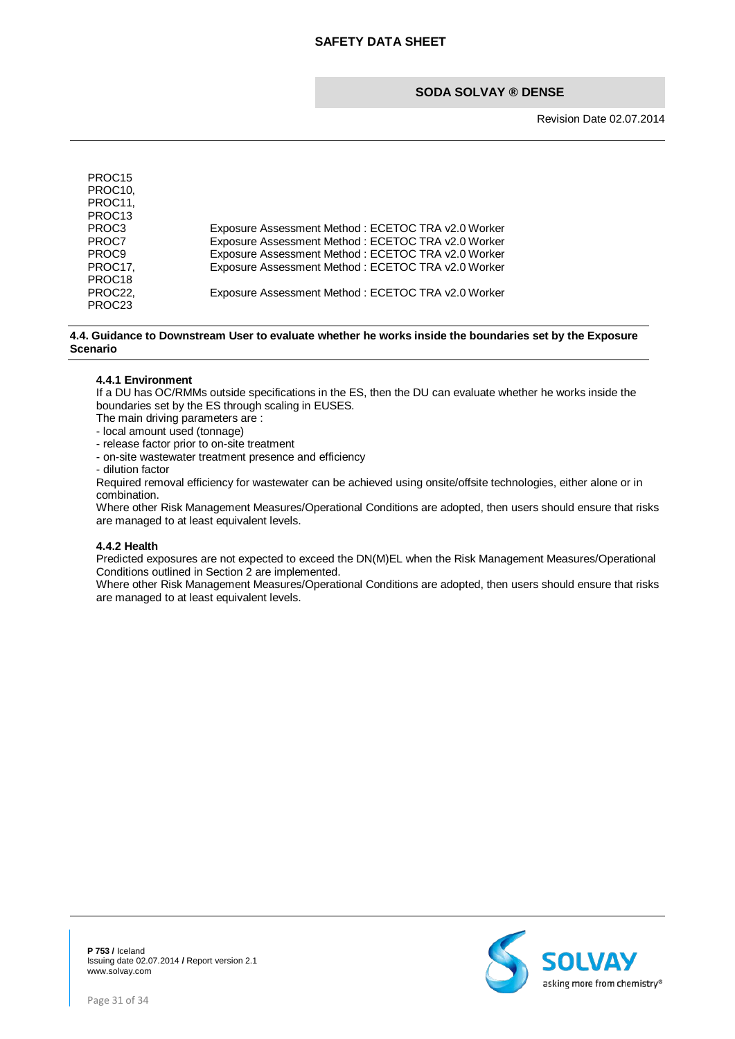Revision Date 02.07.2014

| PROC <sub>15</sub><br>PROC <sub>10</sub> |                                                    |
|------------------------------------------|----------------------------------------------------|
| PROC11,                                  |                                                    |
| PROC <sub>13</sub>                       |                                                    |
| PROC <sub>3</sub>                        | Exposure Assessment Method: ECETOC TRA v2.0 Worker |
| PROC7                                    | Exposure Assessment Method: ECETOC TRA v2.0 Worker |
| PROC <sub>9</sub>                        | Exposure Assessment Method: ECETOC TRA v2.0 Worker |
| PROC17,                                  | Exposure Assessment Method: ECETOC TRA v2.0 Worker |
| PROC <sub>18</sub>                       |                                                    |
| PROC22.                                  | Exposure Assessment Method: ECETOC TRA v2.0 Worker |
| PROC <sub>23</sub>                       |                                                    |

#### **4.4. Guidance to Downstream User to evaluate whether he works inside the boundaries set by the Exposure Scenario**

#### **4.4.1 Environment**

If a DU has OC/RMMs outside specifications in the ES, then the DU can evaluate whether he works inside the boundaries set by the ES through scaling in EUSES.

The main driving parameters are :

- local amount used (tonnage)

- release factor prior to on-site treatment
- on-site wastewater treatment presence and efficiency

- dilution factor

Required removal efficiency for wastewater can be achieved using onsite/offsite technologies, either alone or in combination.

Where other Risk Management Measures/Operational Conditions are adopted, then users should ensure that risks are managed to at least equivalent levels.

#### **4.4.2 Health**

Predicted exposures are not expected to exceed the DN(M)EL when the Risk Management Measures/Operational Conditions outlined in Section 2 are implemented.

Where other Risk Management Measures/Operational Conditions are adopted, then users should ensure that risks are managed to at least equivalent levels.

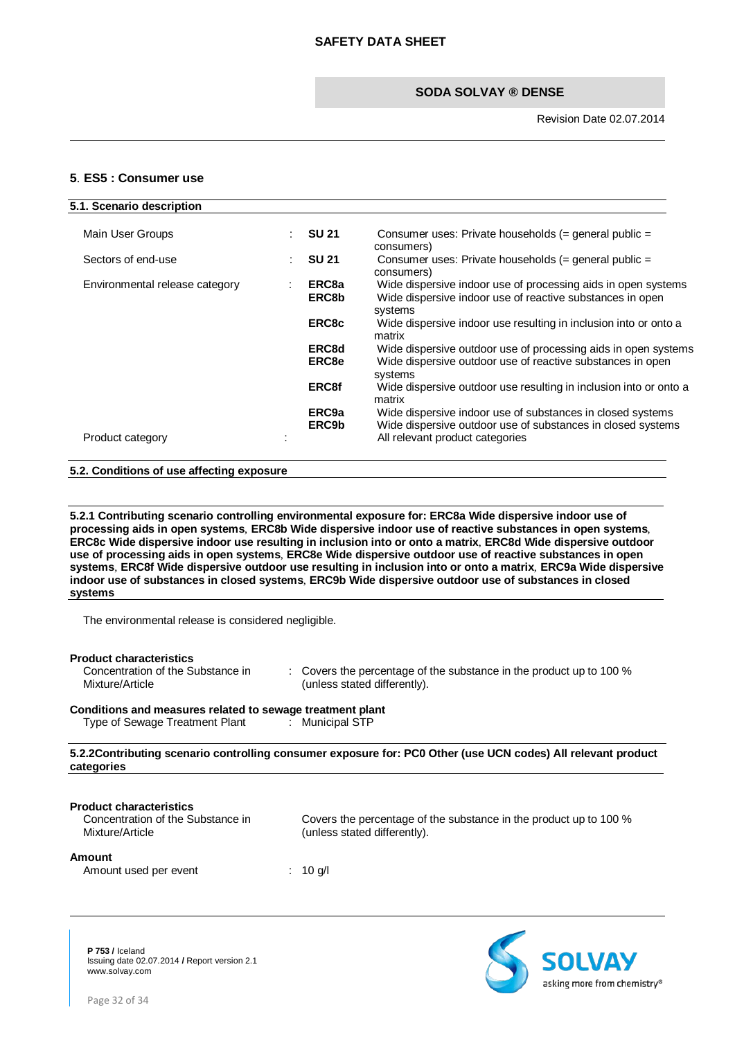### <span id="page-31-0"></span>**5**. **ES5 : Consumer use**

| 5.1. Scenario description      |                            |                                                                                                                                                              |
|--------------------------------|----------------------------|--------------------------------------------------------------------------------------------------------------------------------------------------------------|
| Main User Groups               | <b>SU 21</b><br>÷          | Consumer uses: Private households $(=$ general public $=$<br>consumers)                                                                                      |
| Sectors of end-use             | <b>SU 21</b><br>÷          | Consumer uses: Private households (= general public =<br>consumers)                                                                                          |
| Environmental release category | ERC <sub>8a</sub><br>ERC8b | Wide dispersive indoor use of processing aids in open systems<br>Wide dispersive indoor use of reactive substances in open<br>systems                        |
|                                | ERC8c                      | Wide dispersive indoor use resulting in inclusion into or onto a<br>matrix                                                                                   |
|                                | ERC8d<br>ERC8e             | Wide dispersive outdoor use of processing aids in open systems<br>Wide dispersive outdoor use of reactive substances in open<br>systems                      |
|                                | <b>ERC8f</b>               | Wide dispersive outdoor use resulting in inclusion into or onto a<br>matrix                                                                                  |
| Product category               | ERC <sub>9a</sub><br>ERC9b | Wide dispersive indoor use of substances in closed systems<br>Wide dispersive outdoor use of substances in closed systems<br>All relevant product categories |
|                                |                            |                                                                                                                                                              |

#### **5.2. Conditions of use affecting exposure**

**5.2.1 Contributing scenario controlling environmental exposure for: ERC8a Wide dispersive indoor use of processing aids in open systems**, **ERC8b Wide dispersive indoor use of reactive substances in open systems**, **ERC8c Wide dispersive indoor use resulting in inclusion into or onto a matrix**, **ERC8d Wide dispersive outdoor use of processing aids in open systems**, **ERC8e Wide dispersive outdoor use of reactive substances in open systems**, **ERC8f Wide dispersive outdoor use resulting in inclusion into or onto a matrix**, **ERC9a Wide dispersive indoor use of substances in closed systems**, **ERC9b Wide dispersive outdoor use of substances in closed systems**

The environmental release is considered negligible.

| <b>Product characteristics</b><br>Concentration of the Substance in<br>Mixture/Article | $\therefore$ Covers the percentage of the substance in the product up to 100 %<br>(unless stated differently). |
|----------------------------------------------------------------------------------------|----------------------------------------------------------------------------------------------------------------|
| Conditions and measures related to sewage treatment plant                              |                                                                                                                |
| Type of Sewage Treatment Plant                                                         | : Municipal STP                                                                                                |
| categories                                                                             | 5.2.2 Contributing scenario controlling consumer exposure for: PC0 Other (use UCN codes) All relevant product  |
| <b>Product characteristics</b><br>Concentration of the Substance in<br>Mixture/Article | Covers the percentage of the substance in the product up to 100 %<br>(unless stated differently).              |
|                                                                                        |                                                                                                                |

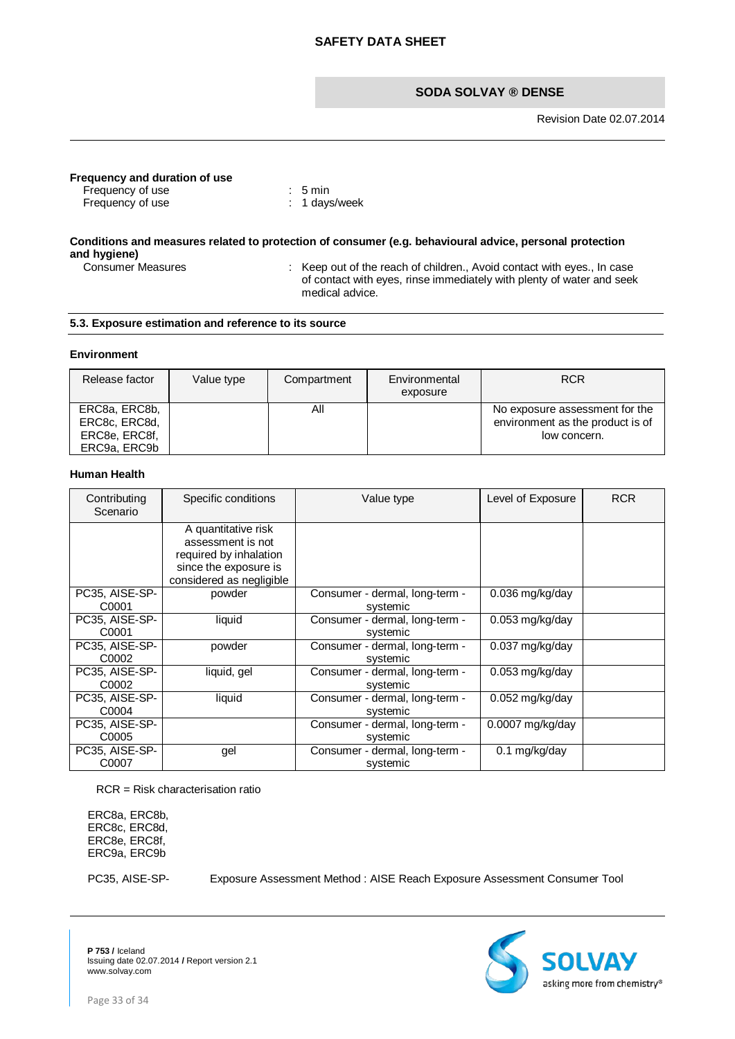Revision Date 02.07.2014

# **Frequency and duration of use**

Frequency of use : 5 min Frequency of use : 1 days/week

# **Conditions and measures related to protection of consumer (e.g. behavioural advice, personal protection and hygiene)**

: Keep out of the reach of children., Avoid contact with eyes., In case of contact with eyes, rinse immediately with plenty of water and seek medical advice.

## **5.3. Exposure estimation and reference to its source**

#### **Environment**

| Release factor                                                  | Value type | Compartment | Environmental<br>exposure | <b>RCR</b>                                                                         |
|-----------------------------------------------------------------|------------|-------------|---------------------------|------------------------------------------------------------------------------------|
| ERC8a, ERC8b,<br>ERC8c, ERC8d,<br>ERC8e, ERC8f,<br>ERC9a, ERC9b |            | ΑIΙ         |                           | No exposure assessment for the<br>environment as the product is of<br>low concern. |

#### **Human Health**

| Contributing<br>Scenario | Specific conditions      | Value type                     | Level of Exposure  | <b>RCR</b> |
|--------------------------|--------------------------|--------------------------------|--------------------|------------|
|                          | A quantitative risk      |                                |                    |            |
|                          | assessment is not        |                                |                    |            |
|                          | required by inhalation   |                                |                    |            |
|                          | since the exposure is    |                                |                    |            |
|                          | considered as negligible |                                |                    |            |
| PC35, AISE-SP-           | powder                   | Consumer - dermal, long-term - | $0.036$ mg/kg/day  |            |
| C0001                    |                          | systemic                       |                    |            |
| PC35, AISE-SP-           | liquid                   | Consumer - dermal, long-term - | $0.053$ mg/kg/day  |            |
| C0001                    |                          | systemic                       |                    |            |
| PC35, AISE-SP-           | powder                   | Consumer - dermal, long-term - | $0.037$ mg/kg/day  |            |
| C0002                    |                          | systemic                       |                    |            |
| PC35, AISE-SP-           | liquid, gel              | Consumer - dermal, long-term - | $0.053$ mg/kg/day  |            |
| C0002                    |                          | systemic                       |                    |            |
| PC35, AISE-SP-           | liquid                   | Consumer - dermal, long-term - | $0.052$ mg/kg/day  |            |
| C0004                    |                          | systemic                       |                    |            |
| PC35, AISE-SP-           |                          | Consumer - dermal, long-term - | $0.0007$ mg/kg/day |            |
| C0005                    |                          | systemic                       |                    |            |
| PC35, AISE-SP-           | gel                      | Consumer - dermal, long-term - | 0.1 mg/kg/day      |            |
| C0007                    |                          | systemic                       |                    |            |

RCR = Risk characterisation ratio

ERC8a, ERC8b, ERC8c, ERC8d, ERC8e, ERC8f, ERC9a, ERC9b

PC35, AISE-SP- Exposure Assessment Method : AISE Reach Exposure Assessment Consumer Tool